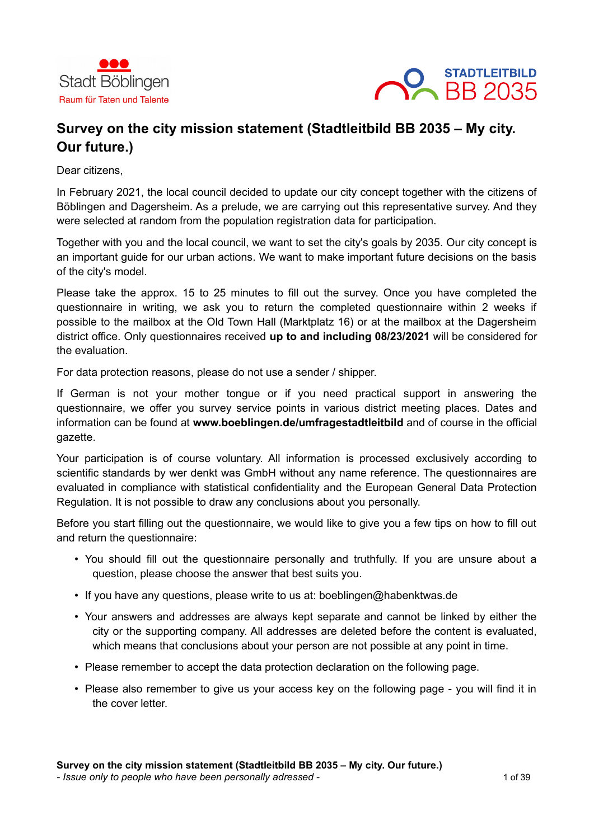



# **Survey on the city mission statement (Stadtleitbild BB 2035 – My city. Our future.)**

Dear citizens,

In February 2021, the local council decided to update our city concept together with the citizens of Böblingen and Dagersheim. As a prelude, we are carrying out this representative survey. And they were selected at random from the population registration data for participation.

Together with you and the local council, we want to set the city's goals by 2035. Our city concept is an important guide for our urban actions. We want to make important future decisions on the basis of the city's model.

Please take the approx. 15 to 25 minutes to fill out the survey. Once you have completed the questionnaire in writing, we ask you to return the completed questionnaire within 2 weeks if possible to the mailbox at the Old Town Hall (Marktplatz 16) or at the mailbox at the Dagersheim district office. Only questionnaires received **up to and including 08/23/2021** will be considered for the evaluation.

For data protection reasons, please do not use a sender / shipper.

If German is not your mother tongue or if you need practical support in answering the questionnaire, we offer you survey service points in various district meeting places. Dates and information can be found at **www.boeblingen.de/umfragestadtleitbild** and of course in the official gazette.

Your participation is of course voluntary. All information is processed exclusively according to scientific standards by wer denkt was GmbH without any name reference. The questionnaires are evaluated in compliance with statistical confidentiality and the European General Data Protection Regulation. It is not possible to draw any conclusions about you personally.

Before you start filling out the questionnaire, we would like to give you a few tips on how to fill out and return the questionnaire:

- You should fill out the questionnaire personally and truthfully. If you are unsure about a question, please choose the answer that best suits you.
- If you have any questions, please write to us at: boeblingen@habenktwas.de
- Your answers and addresses are always kept separate and cannot be linked by either the city or the supporting company. All addresses are deleted before the content is evaluated, which means that conclusions about your person are not possible at any point in time.
- Please remember to accept the data protection declaration on the following page.
- Please also remember to give us your access key on the following page you will find it in the cover letter.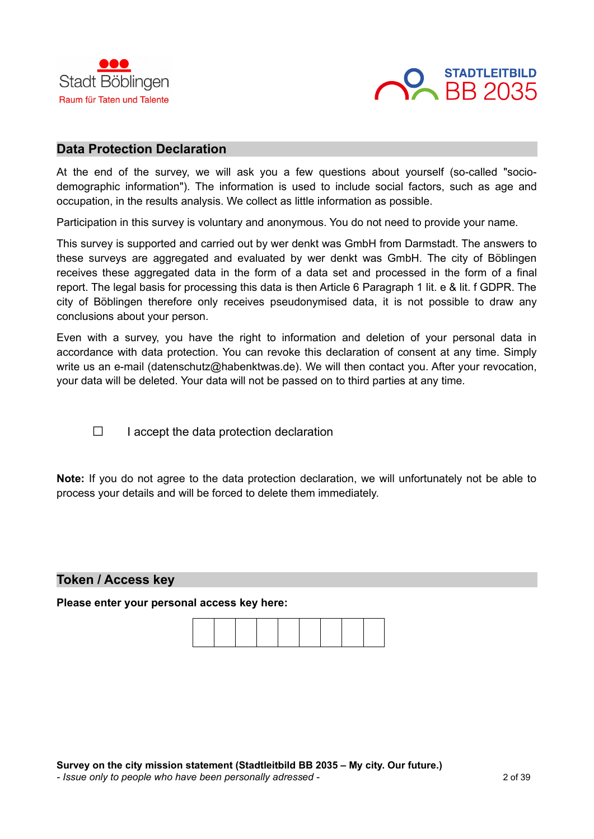



#### **Data Protection Declaration**

At the end of the survey, we will ask you a few questions about yourself (so-called "sociodemographic information"). The information is used to include social factors, such as age and occupation, in the results analysis. We collect as little information as possible.

Participation in this survey is voluntary and anonymous. You do not need to provide your name.

This survey is supported and carried out by wer denkt was GmbH from Darmstadt. The answers to these surveys are aggregated and evaluated by wer denkt was GmbH. The city of Böblingen receives these aggregated data in the form of a data set and processed in the form of a final report. The legal basis for processing this data is then Article 6 Paragraph 1 lit. e & lit. f GDPR. The city of Böblingen therefore only receives pseudonymised data, it is not possible to draw any conclusions about your person.

Even with a survey, you have the right to information and deletion of your personal data in accordance with data protection. You can revoke this declaration of consent at any time. Simply write us an e-mail (datenschutz@habenktwas.de). We will then contact you. After your revocation, your data will be deleted. Your data will not be passed on to third parties at any time.

 $\Box$  I accept the data protection declaration

**Note:** If you do not agree to the data protection declaration, we will unfortunately not be able to process your details and will be forced to delete them immediately.

#### **Token / Access key**

**Please enter your personal access key here:**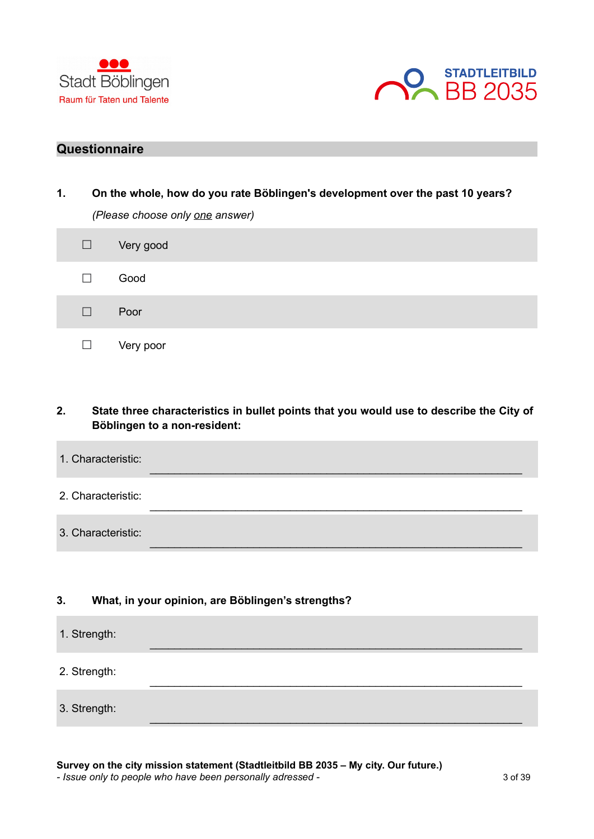



## **Questionnaire**

| 1.<br>On the whole, how do you rate Böblingen's development over the past 10 years? |        |                                 |  |  |  |
|-------------------------------------------------------------------------------------|--------|---------------------------------|--|--|--|
|                                                                                     |        | (Please choose only one answer) |  |  |  |
|                                                                                     | $\Box$ | Very good                       |  |  |  |
|                                                                                     |        | Good                            |  |  |  |
|                                                                                     |        | Poor                            |  |  |  |
|                                                                                     |        | Very poor                       |  |  |  |

## **2. State three characteristics in bullet points that you would use to describe the City of Böblingen to a non-resident:**

 $\_$  , and the set of the set of the set of the set of the set of the set of the set of the set of the set of the set of the set of the set of the set of the set of the set of the set of the set of the set of the set of th

\_\_\_\_\_\_\_\_\_\_\_\_\_\_\_\_\_\_\_\_\_\_\_\_\_\_\_\_\_\_\_\_\_\_\_\_\_\_\_\_\_\_\_\_\_\_\_\_\_\_\_\_\_\_\_\_\_\_\_\_\_

 $\_$  , and the set of the set of the set of the set of the set of the set of the set of the set of the set of the set of the set of the set of the set of the set of the set of the set of the set of the set of the set of th

 $\_$  , and the set of the set of the set of the set of the set of the set of the set of the set of the set of the set of the set of the set of the set of the set of the set of the set of the set of the set of the set of th

\_\_\_\_\_\_\_\_\_\_\_\_\_\_\_\_\_\_\_\_\_\_\_\_\_\_\_\_\_\_\_\_\_\_\_\_\_\_\_\_\_\_\_\_\_\_\_\_\_\_\_\_\_\_\_\_\_\_\_\_\_

 $\_$  , and the set of the set of the set of the set of the set of the set of the set of the set of the set of the set of the set of the set of the set of the set of the set of the set of the set of the set of the set of th

- 1. Characteristic:
- 2. Characteristic:
- 3. Characteristic:

#### **3. What, in your opinion, are Böblingen's strengths?**

- 1. Strength:
- 2. Strength:
- 3. Strength:

*- Issue only to people who have been personally adressed -* 3 of 39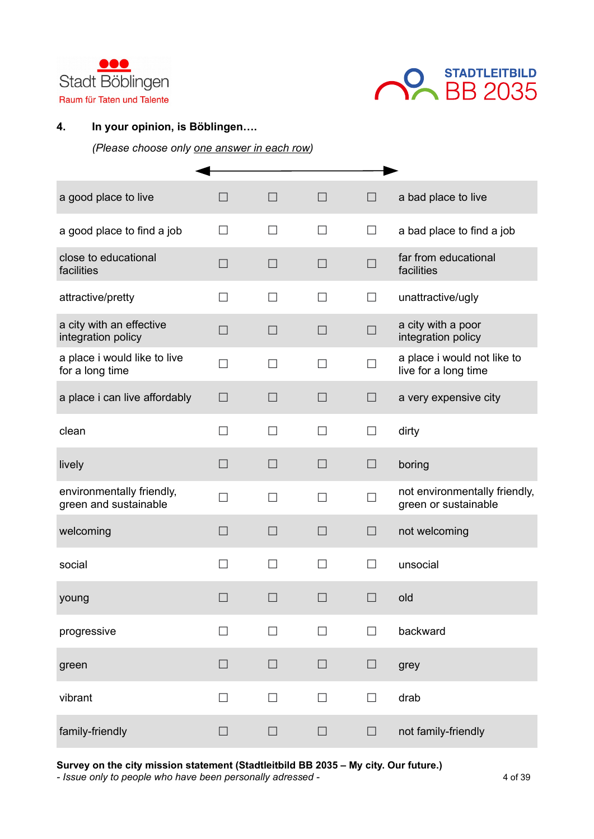



## **4. In your opinion, is Böblingen….**

*(Please choose only one answer in each row)*

| a good place to live                               | П                 | $\Box$         | $\Box$                   | $\Box$            | a bad place to live                                   |
|----------------------------------------------------|-------------------|----------------|--------------------------|-------------------|-------------------------------------------------------|
| a good place to find a job                         | П                 | П              | П                        | $\Box$            | a bad place to find a job                             |
| close to educational<br>facilities                 | $\Box$            | $\Box$         | □                        | $\Box$            | far from educational<br>facilities                    |
| attractive/pretty                                  |                   | $\blacksquare$ |                          | $\vert \ \ \vert$ | unattractive/ugly                                     |
| a city with an effective<br>integration policy     | $\Box$            | $\Box$         | П                        | П                 | a city with a poor<br>integration policy              |
| a place i would like to live<br>for a long time    | $\Box$            | П              | П                        | П                 | a place i would not like to<br>live for a long time   |
| a place i can live affordably                      | □                 | $\Box$         | П                        | $\Box$            | a very expensive city                                 |
| clean                                              | П                 | П              | П                        | $\Box$            | dirty                                                 |
| lively                                             | $\Box$            | $\Box$         | $\Box$                   | $\Box$            | boring                                                |
| environmentally friendly,<br>green and sustainable | П                 | H              | $\overline{\phantom{a}}$ |                   | not environmentally friendly,<br>green or sustainable |
| welcoming                                          | $\Box$            | $\Box$         | $\Box$                   | $\Box$            | not welcoming                                         |
| social                                             | $\Box$            | П              | П                        | П                 | unsocial                                              |
| young                                              |                   | $\Box$         |                          |                   | old                                                   |
| progressive                                        | П                 | П              | П                        | $\Box$            | backward                                              |
| green                                              | $\Box$            | $\Box$         | $\Box$                   | $\Box$            | grey                                                  |
| vibrant                                            | $\vert \ \ \vert$ | $\Box$         | П                        | П                 | drab                                                  |
| family-friendly                                    | $\Box$            | $\Box$         | $\Box$                   | $\Box$            | not family-friendly                                   |

**Survey on the city mission statement (Stadtleitbild BB 2035 – My city. Our future.)**

*-* Issue only to people who have been personally adressed -  $\frac{4 \text{ of 39}}{4}$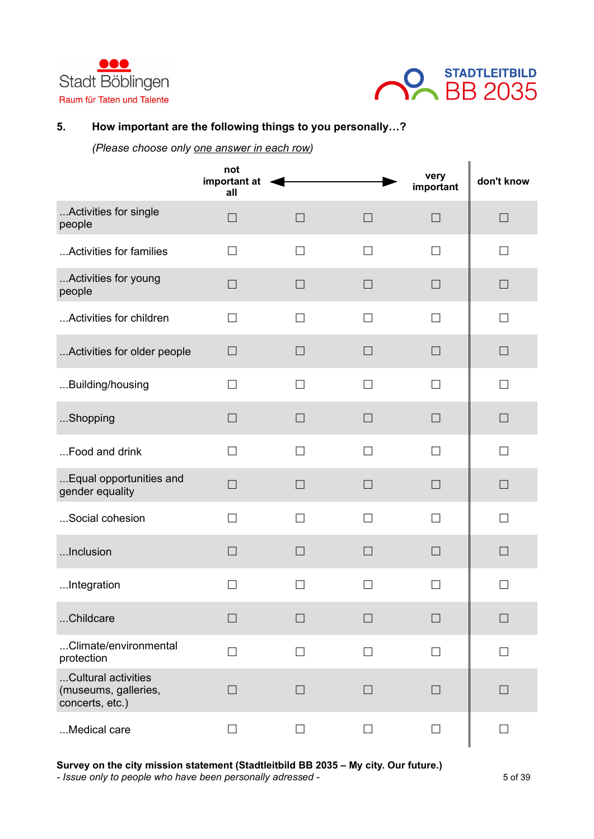



## **5. How important are the following things to you personally…?**

*(Please choose only one answer in each row)*

|                                                                | not<br>important at<br>all |                   |                   | very<br>important | don't know        |
|----------------------------------------------------------------|----------------------------|-------------------|-------------------|-------------------|-------------------|
| Activities for single<br>people                                | П                          | $\Box$            | $\Box$            | $\Box$            | $\Box$            |
| Activities for families                                        | П                          | П                 | $\mathsf{L}$      | П                 | $\mathsf{L}$      |
| Activities for young<br>people                                 | $\Box$                     | $\Box$            | П                 | П                 | $\Box$            |
| Activities for children                                        | $\Box$                     | $\Box$            | П                 | П                 | П                 |
| Activities for older people                                    | $\Box$                     | $\vert \ \ \vert$ | $\Box$            | $\Box$            | $\Box$            |
| Building/housing                                               | П                          | П                 | П                 | П                 | П                 |
| Shopping                                                       | $\Box$                     | $\Box$            | $\Box$            | $\Box$            | $\Box$            |
| Food and drink                                                 | П                          | П                 | П                 | П                 | П                 |
| Equal opportunities and<br>gender equality                     | $\Box$                     | $\Box$            | $\Box$            | □                 | $\Box$            |
| Social cohesion                                                | □                          | П                 | П                 | П                 | П                 |
| Inclusion                                                      | $\Box$                     | $\Box$            | $\Box$            | $\Box$            | $\Box$            |
| Integration                                                    | $\vert \ \ \vert$          | $\Box$            | $\vert \ \ \vert$ | $\mathsf{L}$      | $\mathsf{L}$      |
| Childcare                                                      | $\vert \ \ \vert$          | П                 | П                 | П                 | $\vert \ \ \vert$ |
| Climate/environmental<br>protection                            | $\Box$                     | $\Box$            | П                 | $\Box$            | П                 |
| Cultural activities<br>(museums, galleries,<br>concerts, etc.) | $\Box$                     | $\Box$            | $\Box$            | $\Box$            | П                 |
| Medical care                                                   | $\Box$                     | $\Box$            | $\Box$            | $\Box$            | $\Box$            |

**Survey on the city mission statement (Stadtleitbild BB 2035 – My city. Our future.)**

*- Issue only to people who have been personally adressed -* 5 of 39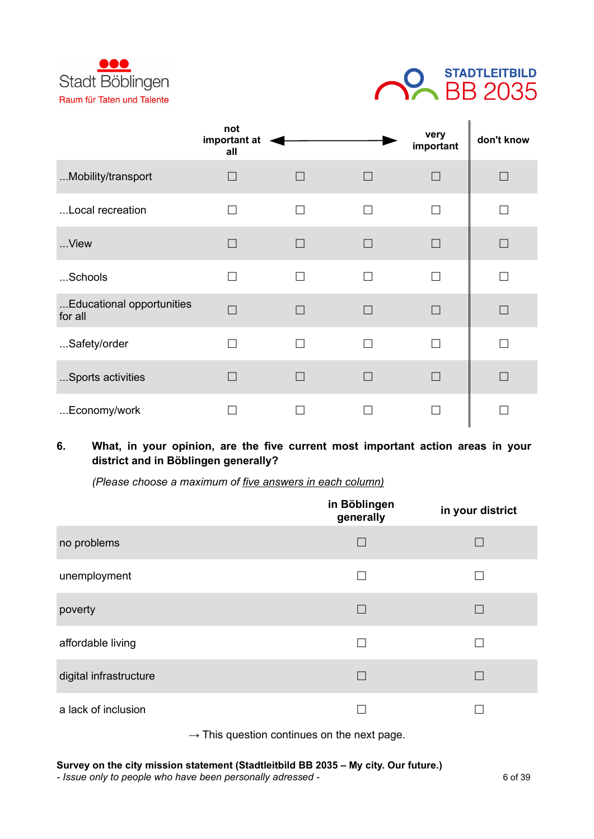



|                                      | not<br>important at<br>all |              |                          | very<br>important | don't know |
|--------------------------------------|----------------------------|--------------|--------------------------|-------------------|------------|
| Mobility/transport                   | $\overline{\phantom{a}}$   | $\Box$       | $\Box$                   | $\Box$            | П          |
| Local recreation                     | П                          | П            | П                        | П                 | □          |
| View                                 | $\Box$                     | $\mathsf{L}$ | $\Box$                   | П                 | П          |
| Schools                              | П                          | П            | П                        | П                 | □          |
| Educational opportunities<br>for all | $\overline{\phantom{a}}$   | $\mathsf{I}$ | $\mathbf{I}$             | П                 | $\Box$     |
| Safety/order                         | $\Box$                     | П            | $\overline{\phantom{a}}$ | □                 |            |
| Sports activities                    |                            | $\mathsf{I}$ |                          | $\Box$            |            |
| Economy/work                         |                            |              |                          |                   |            |

## **6. What, in your opinion, are the five current most important action areas in your district and in Böblingen generally?**

*(Please choose a maximum of five answers in each column)*

|                        | in Böblingen<br>generally | in your district |
|------------------------|---------------------------|------------------|
| no problems            | $\Box$                    | $\Box$           |
| unemployment           |                           |                  |
| poverty                | $\Box$                    |                  |
| affordable living      |                           |                  |
| digital infrastructure |                           | L                |
| a lack of inclusion    |                           |                  |

 $\rightarrow$  This question continues on the next page.

## **Survey on the city mission statement (Stadtleitbild BB 2035 – My city. Our future.)**

*- Issue only to people who have been personally adressed -* 6 of 39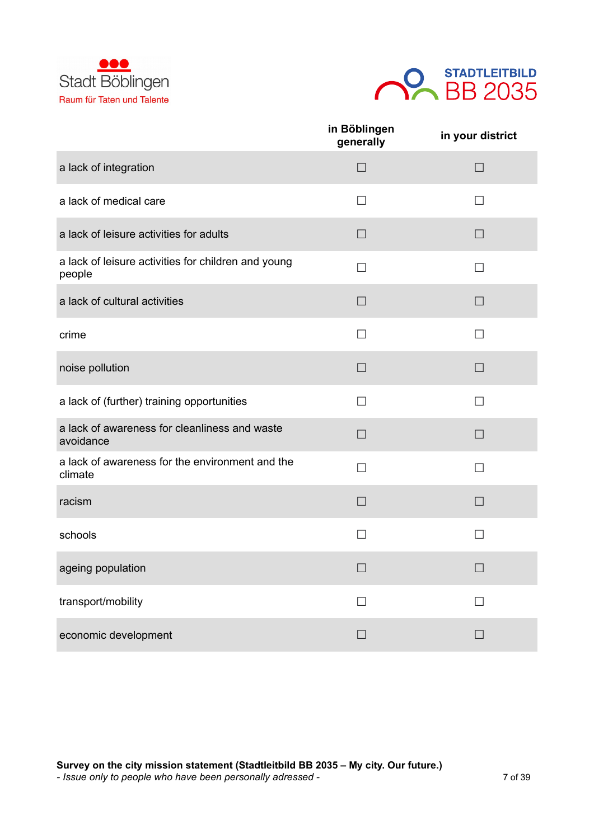



|                                                               | in Böblingen<br>generally | in your district         |
|---------------------------------------------------------------|---------------------------|--------------------------|
| a lack of integration                                         | $\Box$                    | П                        |
| a lack of medical care                                        | П                         | П                        |
| a lack of leisure activities for adults                       | $\Box$                    | $\Box$                   |
| a lack of leisure activities for children and young<br>people | П                         | П                        |
| a lack of cultural activities                                 | $\Box$                    | $\Box$                   |
| crime                                                         | П                         | П                        |
| noise pollution                                               | $\Box$                    | $\Box$                   |
| a lack of (further) training opportunities                    | П                         | П                        |
| a lack of awareness for cleanliness and waste<br>avoidance    | $\Box$                    | $\Box$                   |
| a lack of awareness for the environment and the<br>climate    |                           | $\overline{\phantom{a}}$ |
| racism                                                        | $\Box$                    | $\Box$                   |
| schools                                                       | $\Box$                    | $\Box$                   |
| ageing population                                             | $\Box$                    | $\Box$                   |
| transport/mobility                                            | $\Box$                    | П                        |
| economic development                                          | $\Box$                    | $\Box$                   |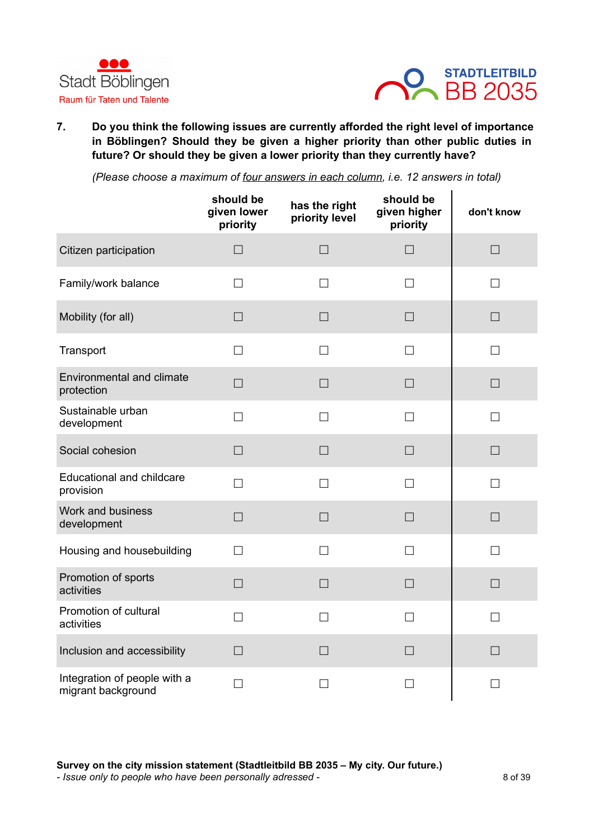



**7. Do you think the following issues are currently afforded the right level of importance in Böblingen? Should they be given a higher priority than other public duties in future? Or should they be given a lower priority than they currently have?**

*(Please choose a maximum of four answers in each column, i.e. 12 answers in total)*

|                                                    | should be<br>given lower<br>priority | has the right<br>priority level | should be<br>given higher<br>priority | don't know |
|----------------------------------------------------|--------------------------------------|---------------------------------|---------------------------------------|------------|
| Citizen participation                              | $\Box$                               | $\Box$                          | $\Box$                                | $\Box$     |
| Family/work balance                                | П                                    | $\Box$                          | $\Box$                                | $\Box$     |
| Mobility (for all)                                 | $\Box$                               | $\Box$                          | $\Box$                                | $\Box$     |
| Transport                                          | П                                    | П                               | П                                     | $\Box$     |
| <b>Environmental and climate</b><br>protection     | $\Box$                               | $\Box$                          | $\Box$                                | $\Box$     |
| Sustainable urban<br>development                   | $\Box$                               | $\Box$                          | $\Box$                                | $\Box$     |
| Social cohesion                                    | $\Box$                               | $\Box$                          | $\Box$                                | $\Box$     |
| <b>Educational and childcare</b><br>provision      | П                                    | $\Box$                          | П                                     | П          |
| Work and business<br>development                   | $\Box$                               | $\Box$                          | $\Box$                                | $\Box$     |
| Housing and housebuilding                          | П                                    | П                               | П                                     | П          |
| Promotion of sports<br>activities                  | $\Box$                               | $\Box$                          | П                                     | $\Box$     |
| Promotion of cultural<br>activities                | $\Box$                               | $\Box$                          | П                                     | П          |
| Inclusion and accessibility                        | $\Box$                               | $\Box$                          | $\Box$                                | $\Box$     |
| Integration of people with a<br>migrant background | $\Box$                               | П                               | П                                     | $\Box$     |

**Survey on the city mission statement (Stadtleitbild BB 2035 – My city. Our future.)** *- Issue only to people who have been personally adressed -* 8 of 39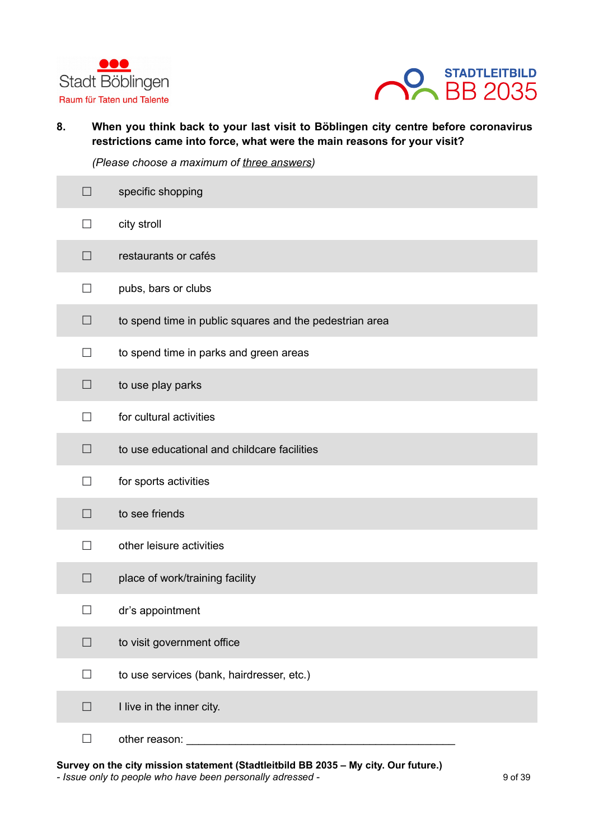



**8. When you think back to your last visit to Böblingen city centre before coronavirus restrictions came into force, what were the main reasons for your visit?**

*(Please choose a maximum of three answers)*

| $\Box$ | specific shopping                                       |
|--------|---------------------------------------------------------|
| $\Box$ | city stroll                                             |
| $\Box$ | restaurants or cafés                                    |
| $\Box$ | pubs, bars or clubs                                     |
| $\Box$ | to spend time in public squares and the pedestrian area |
| $\Box$ | to spend time in parks and green areas                  |
| □      | to use play parks                                       |
| П      | for cultural activities                                 |
| $\Box$ | to use educational and childcare facilities             |
| $\Box$ | for sports activities                                   |
| $\Box$ | to see friends                                          |
| П      | other leisure activities                                |
| $\Box$ | place of work/training facility                         |
|        | dr's appointment                                        |
| $\Box$ | to visit government office                              |
| $\Box$ | to use services (bank, hairdresser, etc.)               |
| $\Box$ | I live in the inner city.                               |
| П      | other reason:                                           |

**Survey on the city mission statement (Stadtleitbild BB 2035 – My city. Our future.)** *- Issue only to people who have been personally adressed -* 9 of 39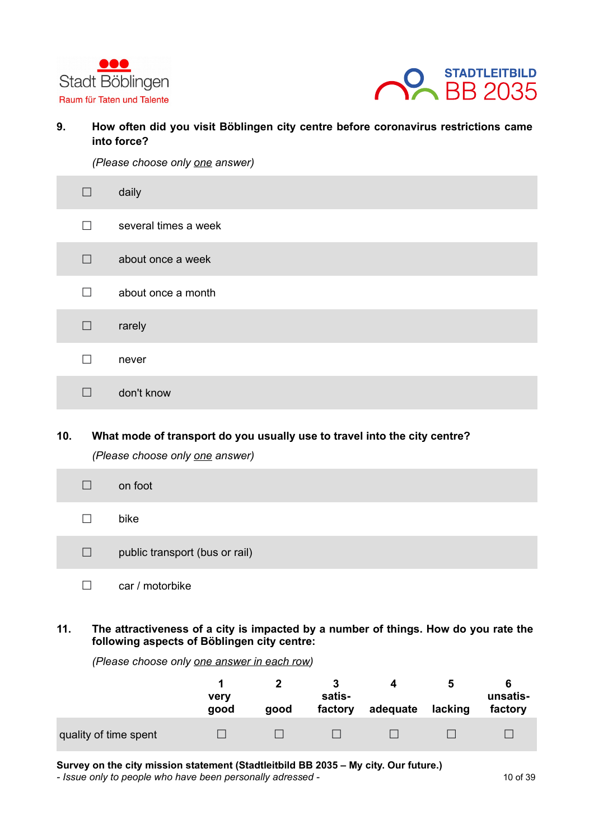



**9. How often did you visit Böblingen city centre before coronavirus restrictions came into force?**

*(Please choose only one answer)*

| П            | daily                |
|--------------|----------------------|
| П            | several times a week |
| П            | about once a week    |
| п            | about once a month   |
| П            | rarely               |
| $\mathsf{L}$ | never                |
|              | don't know           |

## **10. What mode of transport do you usually use to travel into the city centre?** *(Please choose only one answer)*

| $\Box$  | on foot                        |
|---------|--------------------------------|
| $\perp$ | bike                           |
| $\Box$  | public transport (bus or rail) |
|         | car / motorbike                |

**11. The attractiveness of a city is impacted by a number of things. How do you rate the following aspects of Böblingen city centre:**

|                       | very<br>good | good | satis-<br>factory | adequate | b<br>lacking | unsatis-<br>factory |
|-----------------------|--------------|------|-------------------|----------|--------------|---------------------|
| quality of time spent |              |      |                   |          |              |                     |

*(Please choose only one answer in each row)*

**Survey on the city mission statement (Stadtleitbild BB 2035 – My city. Our future.)**

*- Issue only to people who have been personally adressed -* 10 of 39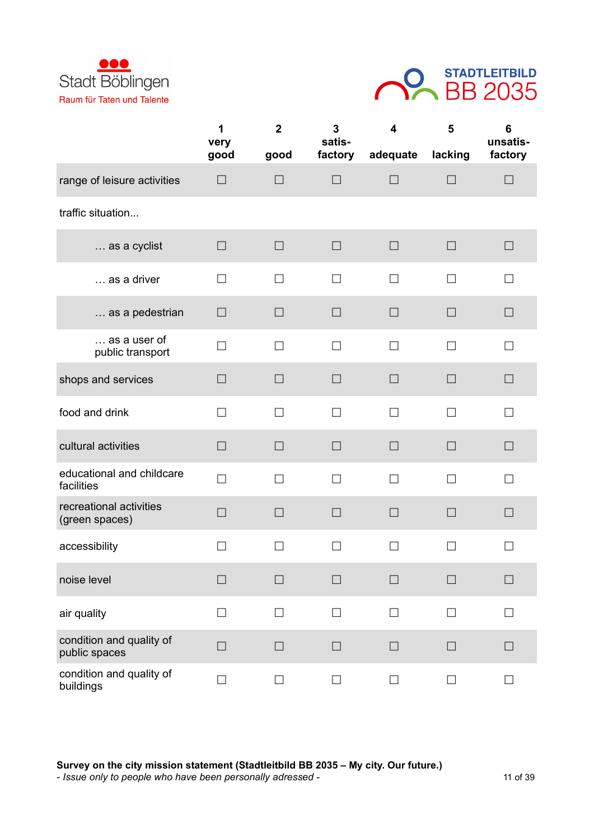



|                                           | 1<br>very | $\mathbf{2}$ | 3<br>satis- | $\overline{\mathbf{4}}$ | 5       | 6<br>unsatis- |
|-------------------------------------------|-----------|--------------|-------------|-------------------------|---------|---------------|
|                                           | good      | good         | factory     | adequate                | lacking | factory       |
| range of leisure activities               | $\Box$    | $\Box$       | $\Box$      | $\Box$                  | $\Box$  | $\Box$        |
| traffic situation                         |           |              |             |                         |         |               |
| as a cyclist                              | $\Box$    | $\Box$       | $\Box$      | $\Box$                  | $\Box$  | $\Box$        |
| as a driver                               | П         | П            | $\Box$      | П                       | П       | $\perp$       |
| as a pedestrian                           | $\Box$    | П            | $\Box$      | $\Box$                  | П       | $\Box$        |
| as a user of<br>public transport          | $\Box$    | $\Box$       | $\Box$      | П                       | $\Box$  | $\Box$        |
| shops and services                        | $\Box$    | П            | $\Box$      | $\Box$                  | $\Box$  | $\Box$        |
| food and drink                            | $\Box$    | П            | П           | П                       | П       | П             |
| cultural activities                       | $\Box$    | П            | $\Box$      | $\Box$                  | П       | $\Box$        |
| educational and childcare<br>facilities   | $\Box$    | $\Box$       | $\Box$      | П                       | П       | $\Box$        |
| recreational activities<br>(green spaces) | $\Box$    | $\Box$       | $\Box$      | $\Box$                  | $\Box$  | $\Box$        |
| accessibility                             | $\Box$    | $\Box$       | $\Box$      | $\Box$                  | П       | $\Box$        |
| noise level                               | $\Box$    |              | $\Box$      | $\Box$                  | $\Box$  | $\Box$        |
| air quality                               | П         | П            | П           | П                       | П       | П             |
| condition and quality of<br>public spaces | $\Box$    | $\Box$       | $\Box$      | $\Box$                  | $\Box$  | $\Box$        |
| condition and quality of<br>buildings     | $\Box$    | $\Box$       | $\Box$      | $\Box$                  | $\Box$  | $\Box$        |

**Survey on the city mission statement (Stadtleitbild BB 2035 – My city. Our future.)** *- Issue only to people who have been personally adressed -* 11 of 39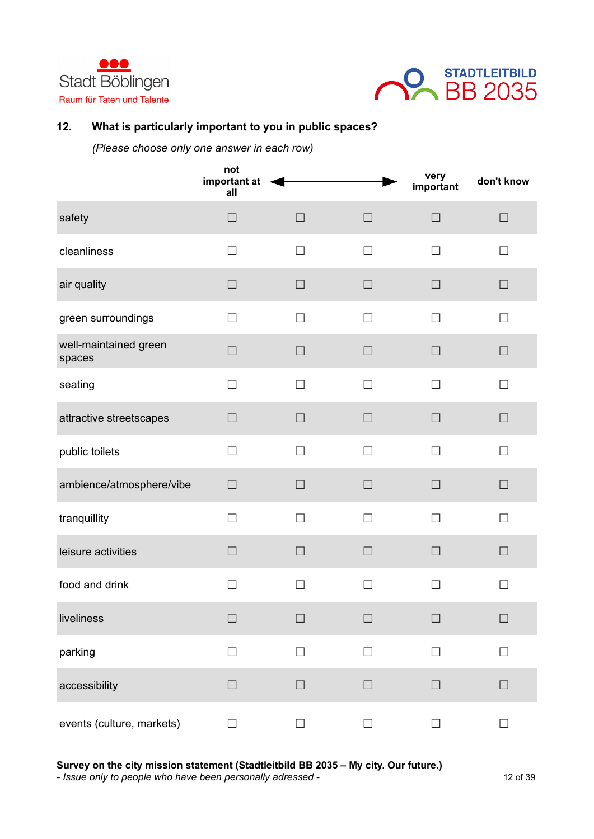



## **12. What is particularly important to you in public spaces?**

*(Please choose only one answer in each row)*

|                                 | not<br>important at<br>all |        |        | very<br>important | don't know |
|---------------------------------|----------------------------|--------|--------|-------------------|------------|
| safety                          | $\Box$                     | $\Box$ | $\Box$ | $\Box$            | $\Box$     |
| cleanliness                     | $\Box$                     | $\Box$ | $\Box$ | П                 | $\Box$     |
| air quality                     | $\Box$                     | $\Box$ | $\Box$ | $\Box$            | $\Box$     |
| green surroundings              | $\Box$                     | $\Box$ | $\Box$ | П                 | $\Box$     |
| well-maintained green<br>spaces | $\Box$                     | $\Box$ | $\Box$ | $\Box$            | $\Box$     |
| seating                         | П                          | $\Box$ | П      | П                 | П          |
| attractive streetscapes         | $\Box$                     | $\Box$ | $\Box$ | $\Box$            | $\Box$     |
| public toilets                  | $\Box$                     | $\Box$ | П      | $\Box$            | П          |
| ambience/atmosphere/vibe        | $\Box$                     | $\Box$ | $\Box$ | $\Box$            | $\Box$     |
| tranquillity                    | П                          | П      | П      | П                 | П          |
| leisure activities              | $\Box$                     | $\Box$ | $\Box$ | $\Box$            | $\Box$     |
| food and drink                  | $\Box$                     | $\Box$ | $\Box$ | П                 | П          |
| liveliness                      | $\Box$                     | $\Box$ | $\Box$ | $\Box$            | $\Box$     |
| parking                         | $\Box$                     | $\Box$ | $\Box$ | $\Box$            | $\Box$     |
| accessibility                   | $\Box$                     | $\Box$ | $\Box$ | $\Box$            | $\Box$     |
| events (culture, markets)       | $\Box$                     | $\Box$ | $\Box$ | $\Box$            | $\Box$     |

**Survey on the city mission statement (Stadtleitbild BB 2035 – My city. Our future.)**

*- Issue only to people who have been personally adressed -* 12 of 39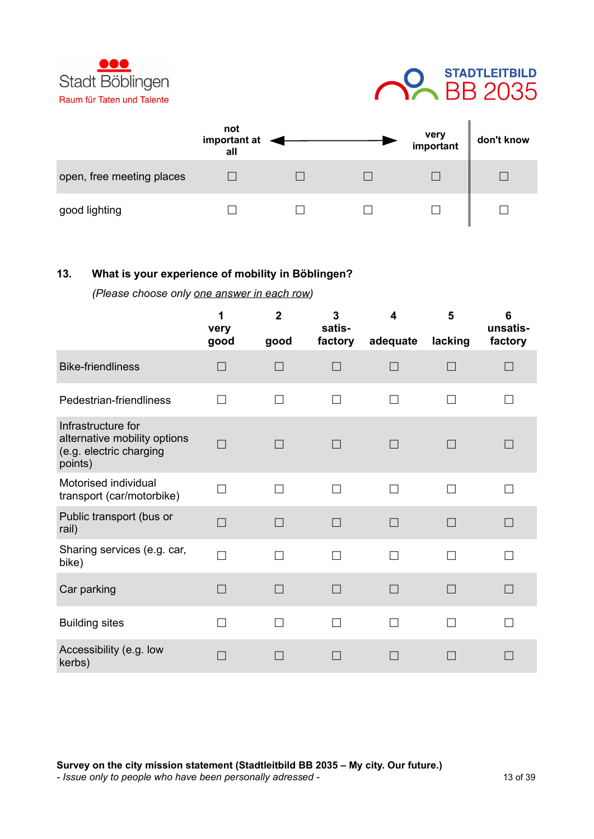



|                           | not<br>important at<br>all |  | very<br>important | don't know |
|---------------------------|----------------------------|--|-------------------|------------|
| open, free meeting places |                            |  |                   |            |
| good lighting             |                            |  |                   |            |

## **13. What is your experience of mobility in Böblingen?**

*(Please choose only one answer in each row)*

|                                                                                          | 1<br>very<br>good | $\overline{2}$<br>good | 3<br>satis-<br>factory   | 4<br>adequate | 5<br>lacking | 6<br>unsatis-<br>factory |
|------------------------------------------------------------------------------------------|-------------------|------------------------|--------------------------|---------------|--------------|--------------------------|
| <b>Bike-friendliness</b>                                                                 | $\Box$            | П                      |                          | П             | $\Box$       |                          |
| Pedestrian-friendliness                                                                  | П                 | П                      | $\overline{\phantom{a}}$ | П             | П            |                          |
| Infrastructure for<br>alternative mobility options<br>(e.g. electric charging<br>points) | П                 | $\Box$                 | П                        | $\Box$        | П            | $\vert \ \ \vert$        |
| Motorised individual<br>transport (car/motorbike)                                        | П                 | П                      | $\Box$                   | П             | П            |                          |
| Public transport (bus or<br>rail)                                                        | $\Box$            | $\Box$                 | $\Box$                   | П             | П            | $\Box$                   |
| Sharing services (e.g. car,<br>bike)                                                     | $\Box$            | П                      | П                        | П             | П            | П                        |
| Car parking                                                                              | $\Box$            | $\Box$                 | П                        | П             | П            | П                        |
| <b>Building sites</b>                                                                    | $\Box$            | П                      | П                        | П             | П            |                          |
| Accessibility (e.g. low<br>kerbs)                                                        |                   |                        |                          | П             |              |                          |

**Survey on the city mission statement (Stadtleitbild BB 2035 – My city. Our future.)** *- Issue only to people who have been personally adressed -* 13 of 39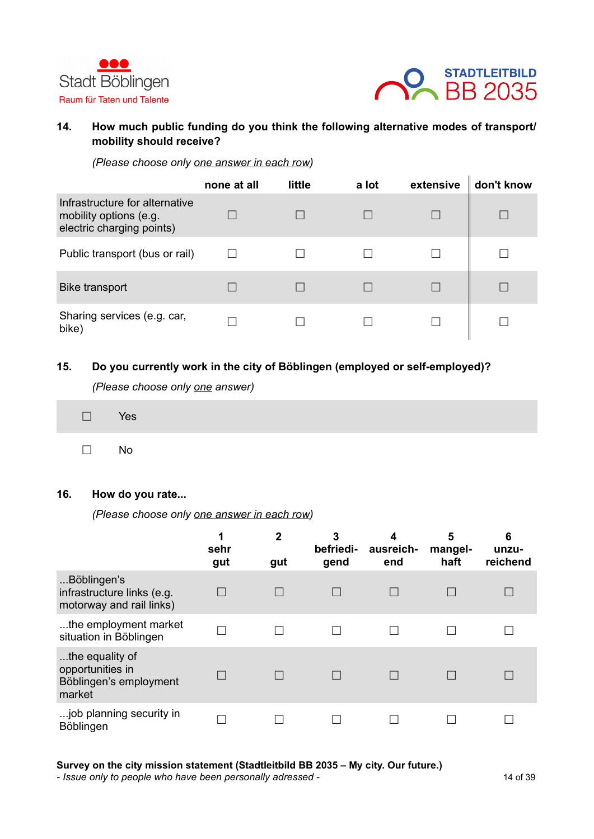



## **14. How much public funding do you think the following alternative modes of transport/ mobility should receive?**

*(Please choose only one answer in each row)*

|                                                                                       | none at all | little | a lot | extensive | don't know |
|---------------------------------------------------------------------------------------|-------------|--------|-------|-----------|------------|
| Infrastructure for alternative<br>mobility options (e.g.<br>electric charging points) |             |        |       |           |            |
| Public transport (bus or rail)                                                        |             |        |       |           |            |
| <b>Bike transport</b>                                                                 |             |        |       |           |            |
| Sharing services (e.g. car,<br>bike)                                                  |             |        |       |           |            |

#### **15. Do you currently work in the city of Böblingen (employed or self-employed)?**

*(Please choose only one answer)*

| $\square$ Yes |  |
|---------------|--|
| $\square$ No  |  |

#### **16. How do you rate...**

*(Please choose only one answer in each row)*

|                                                                         | 1<br>sehr<br>gut | $\overline{2}$<br>gut | 3<br>befriedi-<br>gend | 4<br>ausreich-<br>end | 5<br>mangel-<br>haft | 6<br>unzu-<br>reichend |
|-------------------------------------------------------------------------|------------------|-----------------------|------------------------|-----------------------|----------------------|------------------------|
| Böblingen's<br>infrastructure links (e.g.<br>motorway and rail links)   |                  |                       |                        |                       |                      |                        |
| the employment market<br>situation in Böblingen                         |                  |                       |                        |                       |                      |                        |
| the equality of<br>opportunities in<br>Böblingen's employment<br>market |                  |                       |                        |                       |                      |                        |
| job planning security in<br>Böblingen                                   |                  |                       |                        |                       |                      |                        |

**Survey on the city mission statement (Stadtleitbild BB 2035 – My city. Our future.)**

*- Issue only to people who have been personally adressed -* 14 of 39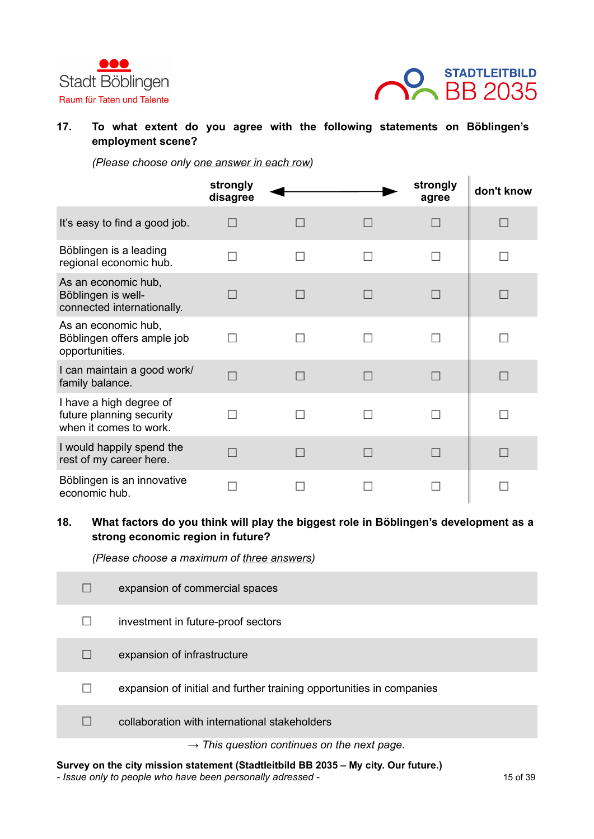



#### **17. To what extent do you agree with the following statements on Böblingen's employment scene?**

*(Please choose only one answer in each row)*

|                                                                               | strongly<br>disagree |  | strongly<br>agree | don't know |
|-------------------------------------------------------------------------------|----------------------|--|-------------------|------------|
| It's easy to find a good job.                                                 |                      |  |                   |            |
| Böblingen is a leading<br>regional economic hub.                              |                      |  |                   |            |
| As an economic hub,<br>Böblingen is well-<br>connected internationally.       |                      |  |                   |            |
| As an economic hub,<br>Böblingen offers ample job<br>opportunities.           |                      |  |                   |            |
| I can maintain a good work/<br>family balance.                                |                      |  |                   |            |
| I have a high degree of<br>future planning security<br>when it comes to work. |                      |  |                   |            |
| I would happily spend the<br>rest of my career here.                          |                      |  |                   |            |
| Böblingen is an innovative<br>economic hub.                                   |                      |  |                   |            |

## **18. What factors do you think will play the biggest role in Böblingen's development as a strong economic region in future?**

*(Please choose a maximum of three answers)*

|        | expansion of commercial spaces                                       |
|--------|----------------------------------------------------------------------|
|        | investment in future-proof sectors                                   |
|        | expansion of infrastructure                                          |
| $\Box$ | expansion of initial and further training opportunities in companies |
|        | collaboration with international stakeholders                        |
|        | $\rightarrow$ This question continues on the next page.              |

#### **Survey on the city mission statement (Stadtleitbild BB 2035 – My city. Our future.)**

*- Issue only to people who have been personally adressed -* 15 of 39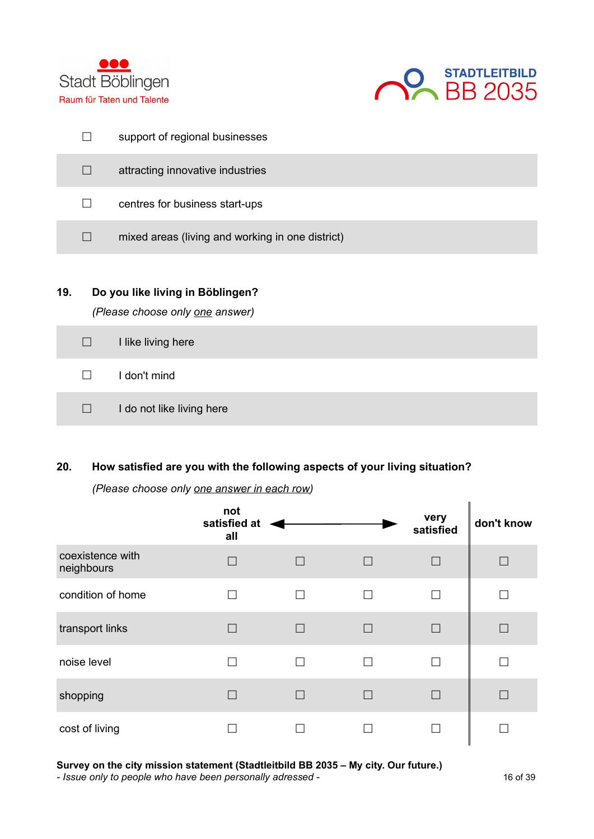



|              | support of regional businesses                   |
|--------------|--------------------------------------------------|
| $\Box$       | attracting innovative industries                 |
| $\mathsf{L}$ | centres for business start-ups                   |
| $\Box$       | mixed areas (living and working in one district) |
|              |                                                  |

## **19. Do you like living in Böblingen?**

*(Please choose only one answer)*

| $\Box$ | I like living here        |
|--------|---------------------------|
| $\Box$ | I don't mind              |
| $\Box$ | I do not like living here |

## **20. How satisfied are you with the following aspects of your living situation?**

*(Please choose only one answer in each row)*

|                                | not<br>satisfied at<br>all |              | very<br>satisfied | don't know |
|--------------------------------|----------------------------|--------------|-------------------|------------|
| coexistence with<br>neighbours | $\vert \ \ \vert$          | $\mathsf{L}$ | П                 |            |
| condition of home              |                            | H            | $\mathcal{L}$     |            |
| transport links                |                            |              | П                 |            |
| noise level                    |                            |              | $\mathsf{L}$      |            |
| shopping                       |                            |              | П                 |            |
| cost of living                 |                            |              |                   |            |

#### **Survey on the city mission statement (Stadtleitbild BB 2035 – My city. Our future.)**

*- Issue only to people who have been personally adressed -* 16 of 39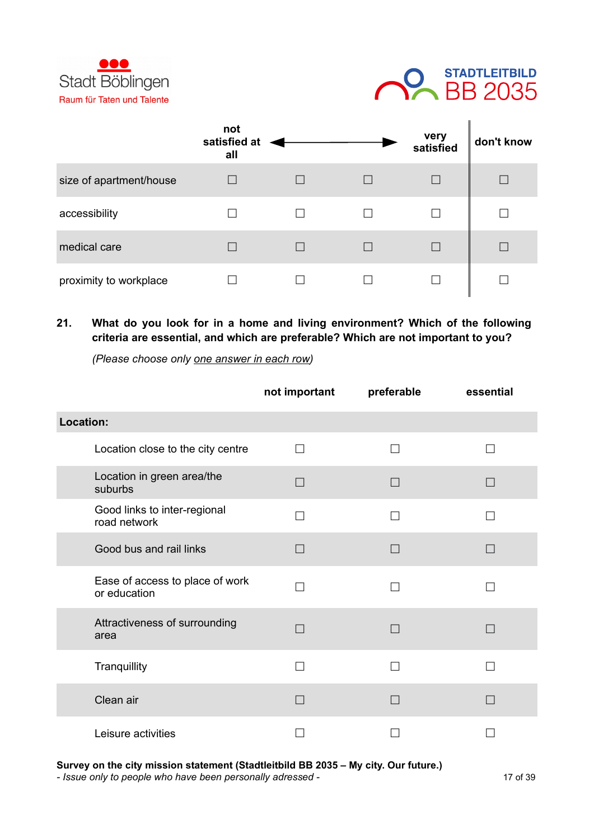



|                         | not<br>satisfied at<br>all |  | very<br>satisfied | don't know |
|-------------------------|----------------------------|--|-------------------|------------|
| size of apartment/house |                            |  |                   |            |
| accessibility           |                            |  |                   |            |
| medical care            |                            |  |                   |            |
| proximity to workplace  |                            |  |                   |            |

## **21. What do you look for in a home and living environment? Which of the following criteria are essential, and which are preferable? Which are not important to you?**

*(Please choose only one answer in each row)*

|                                                 | not important            | preferable               | essential |
|-------------------------------------------------|--------------------------|--------------------------|-----------|
| Location:                                       |                          |                          |           |
| Location close to the city centre               | $\overline{\phantom{a}}$ | $\overline{\phantom{a}}$ | - 1       |
| Location in green area/the<br>suburbs           | $\Box$                   |                          | $\Box$    |
| Good links to inter-regional<br>road network    | - 1                      |                          |           |
| Good bus and rail links                         | $\Box$                   |                          | n l       |
| Ease of access to place of work<br>or education |                          |                          |           |
| Attractiveness of surrounding<br>area           | $\Box$                   |                          |           |
| Tranquillity                                    |                          |                          |           |
| Clean air                                       |                          |                          |           |
| Leisure activities                              |                          |                          |           |

**Survey on the city mission statement (Stadtleitbild BB 2035 – My city. Our future.)**

*- Issue only to people who have been personally adressed -* 17 of 39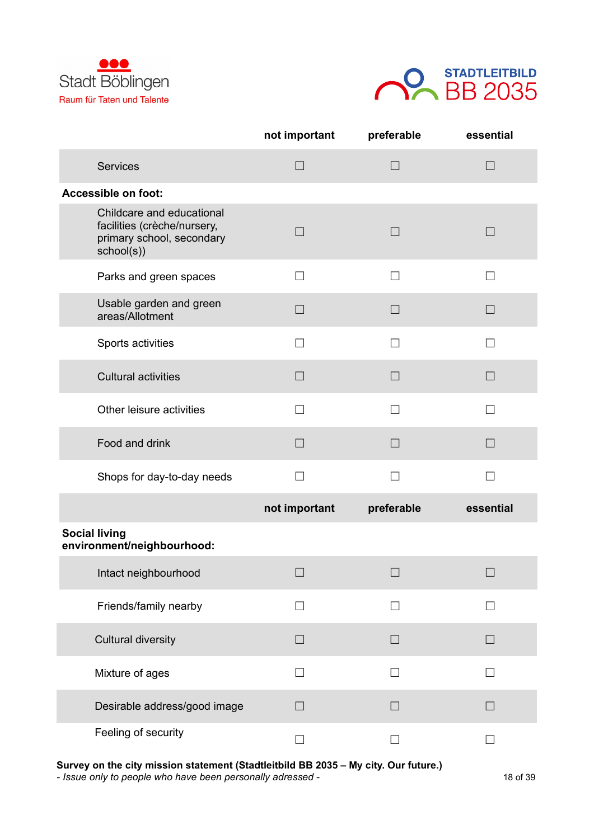



|                                                                                                     | not important     | preferable      | essential    |
|-----------------------------------------------------------------------------------------------------|-------------------|-----------------|--------------|
| <b>Services</b>                                                                                     | $\Box$            | $\Box$          | $\Box$       |
| Accessible on foot:                                                                                 |                   |                 |              |
| Childcare and educational<br>facilities (crèche/nursery,<br>primary school, secondary<br>school(s)) | $\Box$            | $\Box$          | $\Box$       |
| Parks and green spaces                                                                              | П                 | П               | $\mathsf{L}$ |
| Usable garden and green<br>areas/Allotment                                                          | $\Box$            | $\Box$          | $\Box$       |
| Sports activities                                                                                   | П                 | $\Box$          | П            |
| <b>Cultural activities</b>                                                                          | $\vert \ \ \vert$ | П               | $\Box$       |
| Other leisure activities                                                                            | $\mathsf{L}$      | П               | $\Box$       |
| Food and drink                                                                                      | $\Box$            | $\Box$          | $\Box$       |
| Shops for day-to-day needs                                                                          | П                 | $\Box$          | П            |
|                                                                                                     | not important     | preferable      | essential    |
| <b>Social living</b><br>environment/neighbourhood:                                                  |                   |                 |              |
| Intact neighbourhood                                                                                | $\Box$            | $\Box$          | $\Box$       |
| Friends/family nearby                                                                               | П                 | П               | П            |
| <b>Cultural diversity</b>                                                                           | $\mathsf{L}$      | $\Box$          | $\Box$       |
| Mixture of ages                                                                                     | П                 | П               | П            |
| Desirable address/good image                                                                        | $\Box$            | $\vert$ $\vert$ |              |
| Feeling of security                                                                                 | П                 |                 | П            |

**Survey on the city mission statement (Stadtleitbild BB 2035 – My city. Our future.)**

*- Issue only to people who have been personally adressed -* 18 of 39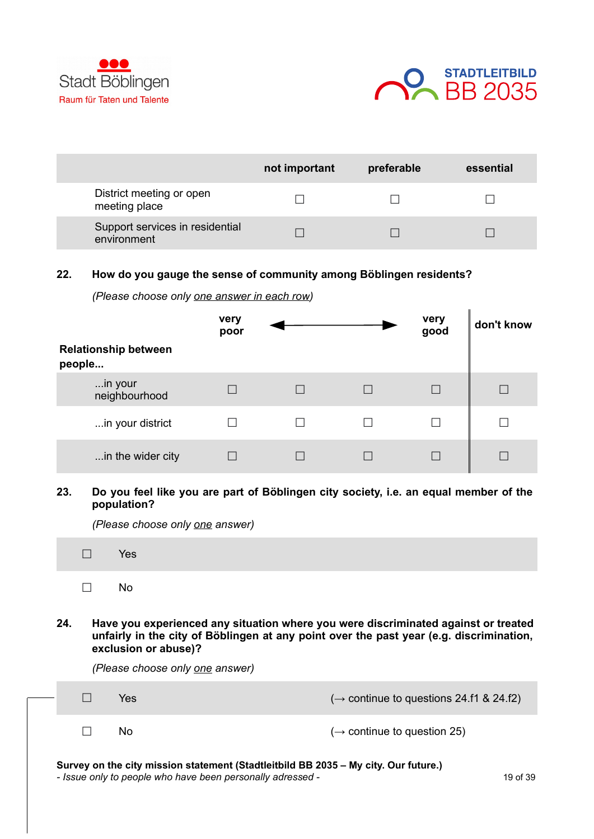



|                                                | not important | preferable | essential |
|------------------------------------------------|---------------|------------|-----------|
| District meeting or open<br>meeting place      |               |            |           |
| Support services in residential<br>environment |               |            |           |

#### **22. How do you gauge the sense of community among Böblingen residents?**

| <b>Relationship between</b><br>people | very<br>poor |  | very<br>good | don't know |
|---------------------------------------|--------------|--|--------------|------------|
| in your<br>neighbourhood              |              |  |              |            |
| in your district                      |              |  |              |            |
| in the wider city                     |              |  |              |            |

*(Please choose only one answer in each row)*

**23. Do you feel like you are part of Böblingen city society, i.e. an equal member of the population?**

*(Please choose only one answer)*

| $\mathbf{v}$ $\mathbf{v}$ |  |  |  |
|---------------------------|--|--|--|
|                           |  |  |  |

**☐** No

**24. Have you experienced any situation where you were discriminated against or treated unfairly in the city of Böblingen at any point over the past year (e.g. discrimination, exclusion or abuse)?** 

*(Please choose only one answer)*

|  | Yes                                                                                                                                               | $(\rightarrow$ continue to questions 24.f1 & 24.f2) |          |
|--|---------------------------------------------------------------------------------------------------------------------------------------------------|-----------------------------------------------------|----------|
|  | No                                                                                                                                                | $(\rightarrow$ continue to question 25)             |          |
|  | Survey on the city mission statement (Stadtleitbild BB 2035 - My city. Our future.)<br>- Issue only to people who have been personally adressed - |                                                     | 19 of 39 |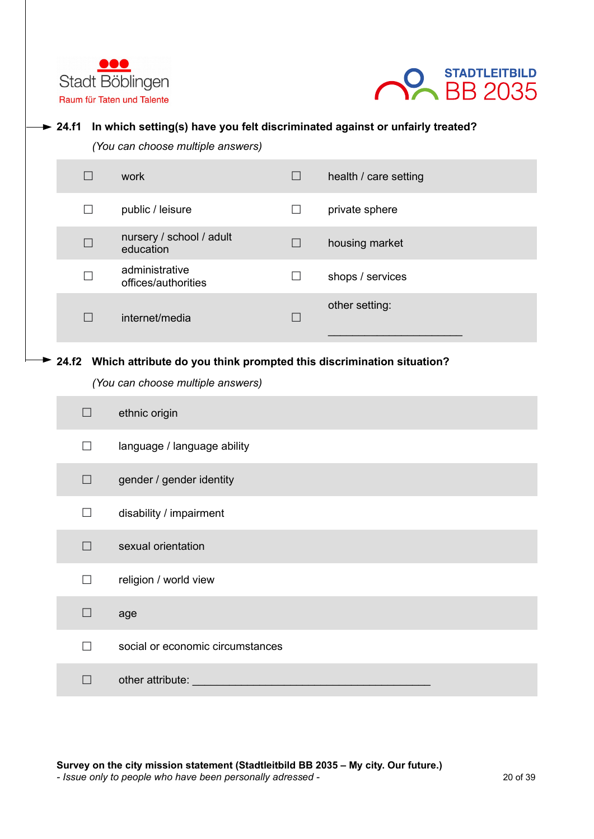



#### **→ 24.f1** In which setting(s) have you felt discriminated against or unfairly treated?

*(You can choose multiple answers)*

|              | work                                  | $\Box$            | health / care setting |
|--------------|---------------------------------------|-------------------|-----------------------|
| $\mathsf{L}$ | public / leisure                      | $\vert \ \ \vert$ | private sphere        |
| П            | nursery / school / adult<br>education | $\Box$            | housing market        |
| П            | administrative<br>offices/authorities | $\blacksquare$    | shops / services      |
|              | internet/media                        |                   | other setting:        |

#### **24.f2 Which attribute do you think prompted this discrimination situation?**

*(You can choose multiple answers)*

| $\blacksquare$ | ethnic origin                    |
|----------------|----------------------------------|
| П              | language / language ability      |
| П              | gender / gender identity         |
| П              | disability / impairment          |
| П              | sexual orientation               |
| П              | religion / world view            |
| П              | age                              |
| П              | social or economic circumstances |
|                | other attribute:                 |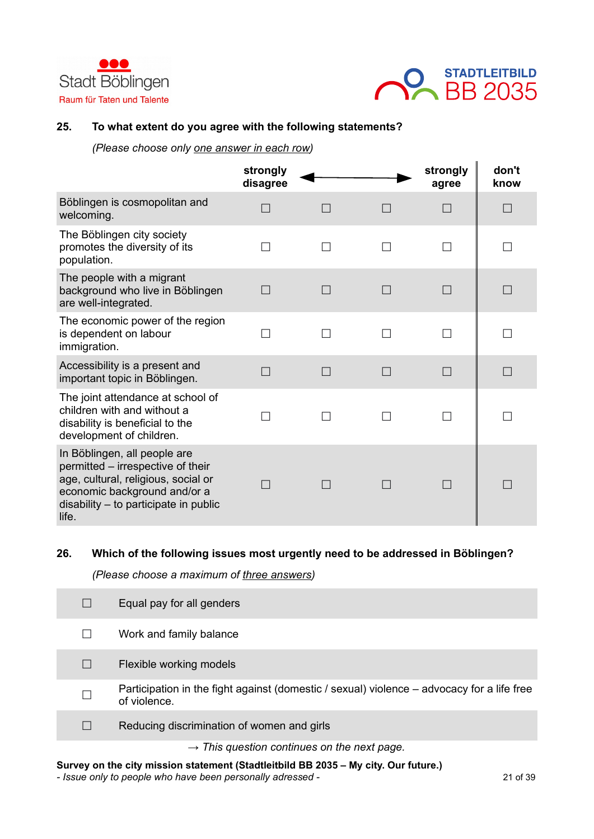



#### **25. To what extent do you agree with the following statements?**

*(Please choose only one answer in each row)*

|                                                                                                                                                                                              | strongly<br>disagree |        | strongly<br>agree | don't<br>know |
|----------------------------------------------------------------------------------------------------------------------------------------------------------------------------------------------|----------------------|--------|-------------------|---------------|
| Böblingen is cosmopolitan and<br>welcoming.                                                                                                                                                  |                      |        | П                 | $\Box$        |
| The Böblingen city society<br>promotes the diversity of its<br>population.                                                                                                                   | П                    | П      | П                 | П             |
| The people with a migrant<br>background who live in Böblingen<br>are well-integrated.                                                                                                        | <b>Tall</b>          | $\Box$ | П                 |               |
| The economic power of the region<br>is dependent on labour<br>immigration.                                                                                                                   |                      |        |                   |               |
| Accessibility is a present and<br>important topic in Böblingen.                                                                                                                              |                      |        | П                 |               |
| The joint attendance at school of<br>children with and without a<br>disability is beneficial to the<br>development of children.                                                              |                      |        |                   |               |
| In Böblingen, all people are<br>permitted – irrespective of their<br>age, cultural, religious, social or<br>economic background and/or a<br>$disability - to participate in public$<br>life. |                      |        | П                 |               |

#### **26. Which of the following issues most urgently need to be addressed in Böblingen?**

*(Please choose a maximum of three answers)*

| Equal pay for all genders                                                                                  |
|------------------------------------------------------------------------------------------------------------|
| Work and family balance                                                                                    |
| Flexible working models                                                                                    |
| Participation in the fight against (domestic / sexual) violence – advocacy for a life free<br>of violence. |
| Reducing discrimination of women and girls                                                                 |
| $\rightarrow$ This question continues on the next page.                                                    |

#### **Survey on the city mission statement (Stadtleitbild BB 2035 – My city. Our future.)**

*- Issue only to people who have been personally adressed -* 21 of 39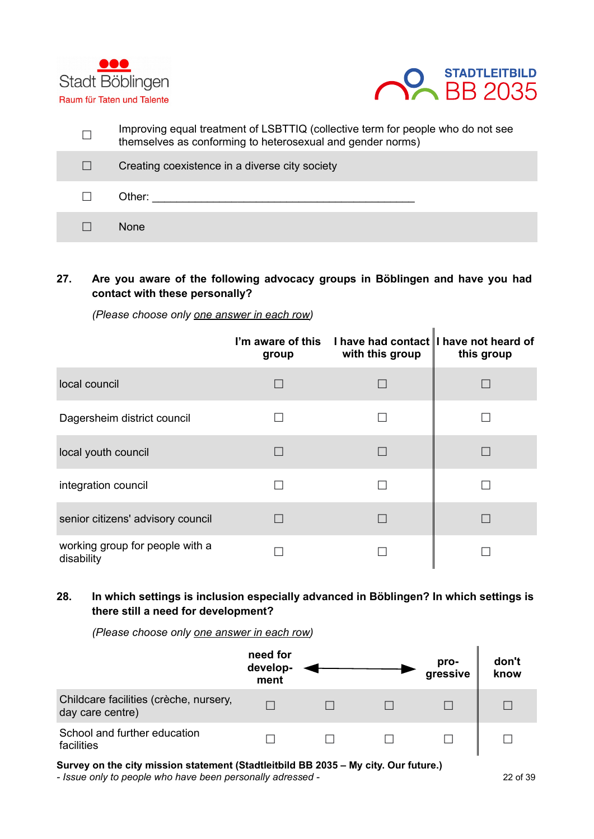



| Improving equal treatment of LSBTTIQ (collective term for people who do not see<br>themselves as conforming to heterosexual and gender norms) |
|-----------------------------------------------------------------------------------------------------------------------------------------------|
| Creating coexistence in a diverse city society                                                                                                |
| Other:                                                                                                                                        |
| <b>None</b>                                                                                                                                   |

## **27. Are you aware of the following advocacy groups in Böblingen and have you had contact with these personally?**

*(Please choose only one answer in each row)*

|                                               | group | I'm aware of this I have had contact I have not heard of<br>with this group | this group |
|-----------------------------------------------|-------|-----------------------------------------------------------------------------|------------|
| local council                                 |       |                                                                             |            |
| Dagersheim district council                   |       |                                                                             |            |
| local youth council                           |       |                                                                             |            |
| integration council                           |       |                                                                             |            |
| senior citizens' advisory council             |       |                                                                             |            |
| working group for people with a<br>disability |       |                                                                             |            |

## **28. In which settings is inclusion especially advanced in Böblingen? In which settings is there still a need for development?**

*(Please choose only one answer in each row)*



**Survey on the city mission statement (Stadtleitbild BB 2035 – My city. Our future.)**

*- Issue only to people who have been personally adressed -* 22 of 39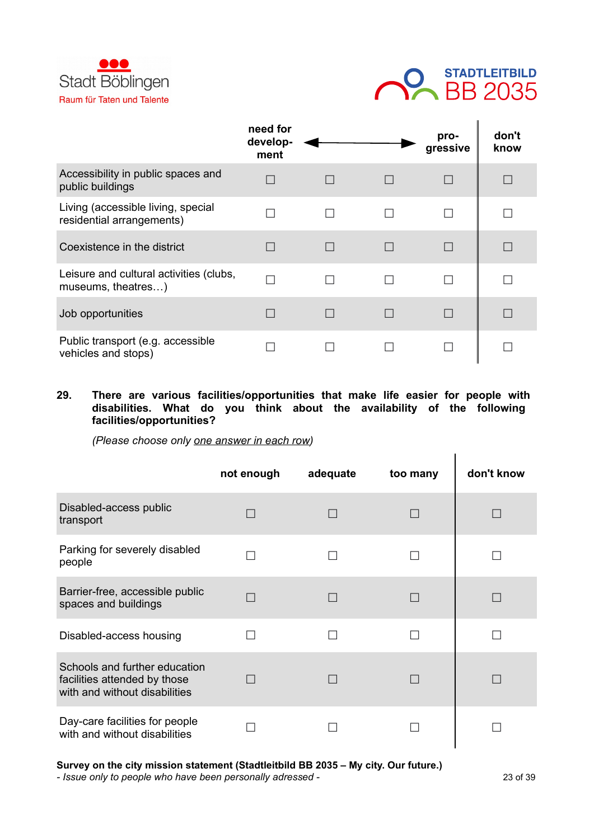



|                                                                 | need for<br>develop-<br>ment |        | pro-<br>gressive | don't<br>know |
|-----------------------------------------------------------------|------------------------------|--------|------------------|---------------|
| Accessibility in public spaces and<br>public buildings          |                              |        | П                |               |
| Living (accessible living, special<br>residential arrangements) |                              | П      |                  |               |
| Coexistence in the district                                     |                              | $\Box$ | П                |               |
| Leisure and cultural activities (clubs,<br>museums, theatres)   |                              | П      | П                |               |
| Job opportunities                                               |                              |        | П                |               |
| Public transport (e.g. accessible<br>vehicles and stops)        |                              |        |                  |               |

**29. There are various facilities/opportunities that make life easier for people with disabilities. What do you think about the availability of the following facilities/opportunities?**

*(Please choose only one answer in each row)*

|                                                                                                | not enough | adequate | too many | don't know |
|------------------------------------------------------------------------------------------------|------------|----------|----------|------------|
| Disabled-access public<br>transport                                                            |            |          |          |            |
| Parking for severely disabled<br>people                                                        |            |          |          |            |
| Barrier-free, accessible public<br>spaces and buildings                                        |            |          |          |            |
| Disabled-access housing                                                                        |            |          |          |            |
| Schools and further education<br>facilities attended by those<br>with and without disabilities |            |          |          |            |
| Day-care facilities for people<br>with and without disabilities                                |            |          |          |            |

**Survey on the city mission statement (Stadtleitbild BB 2035 – My city. Our future.)**

*- Issue only to people who have been personally adressed -* 23 of 39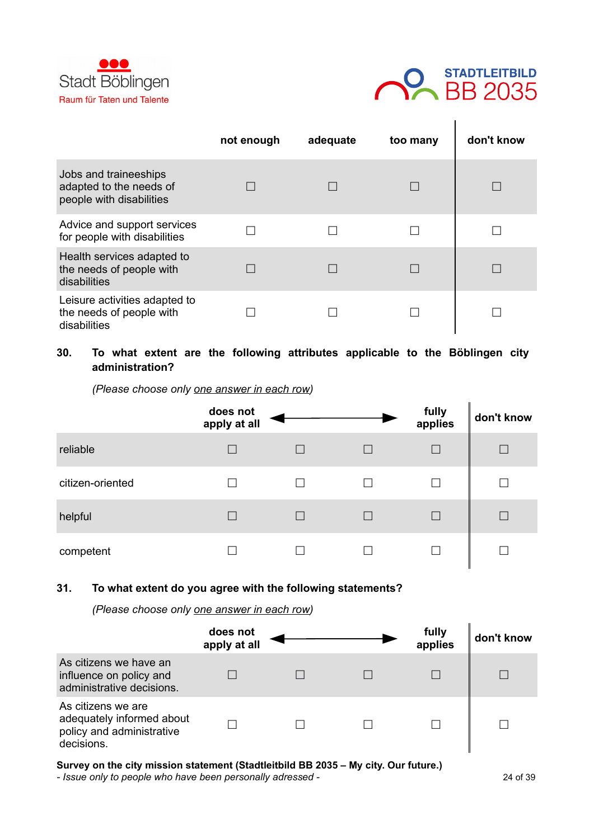



|                                                                              | not enough | adequate | too many | don't know |
|------------------------------------------------------------------------------|------------|----------|----------|------------|
| Jobs and traineeships<br>adapted to the needs of<br>people with disabilities |            |          |          |            |
| Advice and support services<br>for people with disabilities                  |            |          |          |            |
| Health services adapted to<br>the needs of people with<br>disabilities       |            |          |          |            |
| Leisure activities adapted to<br>the needs of people with<br>disabilities    |            |          |          |            |

## **30. To what extent are the following attributes applicable to the Böblingen city administration?**

*(Please choose only one answer in each row)*

|                  | does not<br>apply at all |  | fully<br>applies | don't know |
|------------------|--------------------------|--|------------------|------------|
| reliable         |                          |  | П                | П          |
| citizen-oriented |                          |  |                  |            |
| helpful          |                          |  | П                |            |
| competent        |                          |  |                  |            |

#### **31. To what extent do you agree with the following statements?**

*(Please choose only one answer in each row)*

|                                                                                            | does not<br>apply at all |  | fully<br>applies | don't know |
|--------------------------------------------------------------------------------------------|--------------------------|--|------------------|------------|
| As citizens we have an<br>influence on policy and<br>administrative decisions.             |                          |  |                  |            |
| As citizens we are<br>adequately informed about<br>policy and administrative<br>decisions. |                          |  |                  |            |

**Survey on the city mission statement (Stadtleitbild BB 2035 – My city. Our future.)**

*- Issue only to people who have been personally adressed -* 24 of 39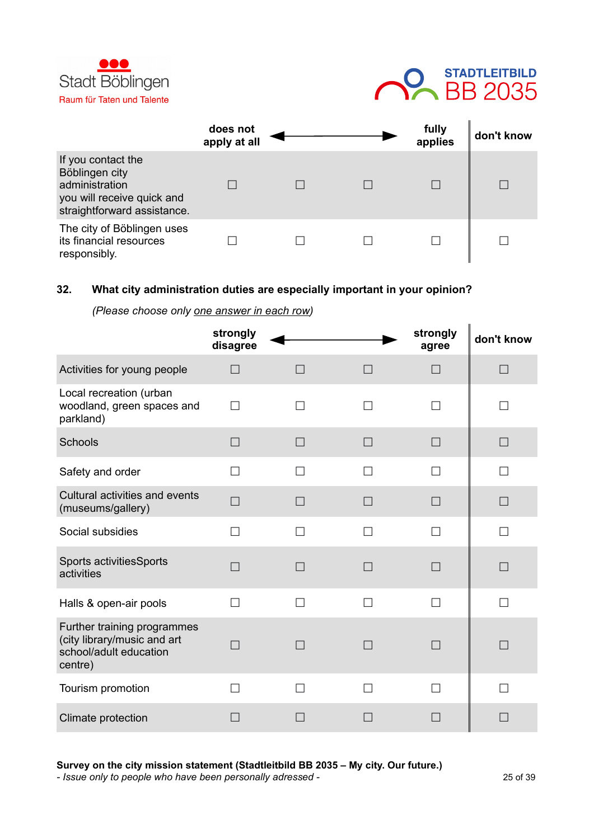



|                                                                                                                     | does not<br>apply at all |  | fully<br>applies | don't know |
|---------------------------------------------------------------------------------------------------------------------|--------------------------|--|------------------|------------|
| If you contact the<br>Böblingen city<br>administration<br>you will receive quick and<br>straightforward assistance. |                          |  |                  |            |
| The city of Böblingen uses<br>its financial resources<br>responsibly.                                               |                          |  |                  |            |

#### **32. What city administration duties are especially important in your opinion?**

#### *(Please choose only one answer in each row)*

|                                                                                                 | strongly<br>disagree |        |                   | strongly<br>agree        | don't know               |
|-------------------------------------------------------------------------------------------------|----------------------|--------|-------------------|--------------------------|--------------------------|
| Activities for young people                                                                     | П                    | $\Box$ |                   | $\Box$                   | П                        |
| Local recreation (urban<br>woodland, green spaces and<br>parkland)                              | П                    | П      | $\mathsf{L}$      | П                        | H                        |
| Schools                                                                                         | $\Box$               | П      | $\vert \ \ \vert$ | $\Box$                   | $\Box$                   |
| Safety and order                                                                                | П                    |        |                   | П                        | П                        |
| Cultural activities and events<br>(museums/gallery)                                             | П                    | $\Box$ |                   | $\Box$                   | $\Box$                   |
| Social subsidies                                                                                | $\Box$               | П      | П                 | П                        | П                        |
| Sports activitiesSports<br>activities                                                           | П                    | П      |                   | П                        | П                        |
| Halls & open-air pools                                                                          | П                    | П      | □                 | П                        | $\Box$                   |
| Further training programmes<br>(city library/music and art<br>school/adult education<br>centre) |                      |        |                   | $\overline{\phantom{0}}$ |                          |
| Tourism promotion                                                                               | П                    | П      |                   | П                        |                          |
| Climate protection                                                                              |                      |        |                   | $\overline{\phantom{0}}$ | $\overline{\phantom{0}}$ |

**Survey on the city mission statement (Stadtleitbild BB 2035 – My city. Our future.)**

*- Issue only to people who have been personally adressed -* 25 of 39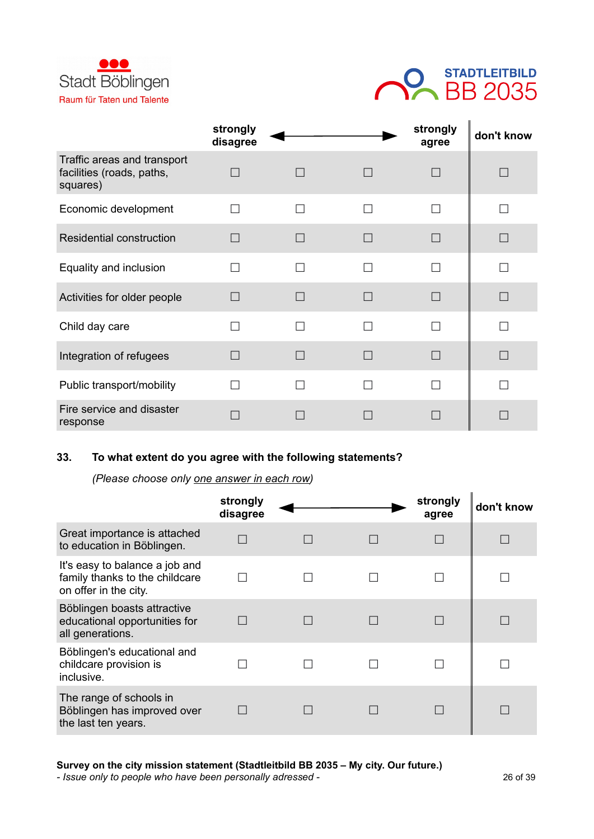



|                                                                      | strongly<br>disagree |        |        | strongly<br>agree | don't know |
|----------------------------------------------------------------------|----------------------|--------|--------|-------------------|------------|
| Traffic areas and transport<br>facilities (roads, paths,<br>squares) |                      |        | $\Box$ |                   |            |
| Economic development                                                 |                      | $\Box$ |        |                   |            |
| <b>Residential construction</b>                                      |                      |        | $\Box$ |                   |            |
| Equality and inclusion                                               |                      |        | П      |                   |            |
| Activities for older people                                          | n.                   |        | $\Box$ |                   | $\Box$     |
| Child day care                                                       |                      |        |        |                   |            |
| Integration of refugees                                              |                      | a s    | $\Box$ |                   |            |
| Public transport/mobility                                            |                      |        |        |                   |            |
| Fire service and disaster<br>response                                |                      |        |        |                   |            |

### **33. To what extent do you agree with the following statements?**

*(Please choose only one answer in each row)*

|                                                                                           | strongly<br>disagree |  | strongly<br>agree | don't know |
|-------------------------------------------------------------------------------------------|----------------------|--|-------------------|------------|
| Great importance is attached<br>to education in Böblingen.                                |                      |  |                   |            |
| It's easy to balance a job and<br>family thanks to the childcare<br>on offer in the city. |                      |  |                   |            |
| Böblingen boasts attractive<br>educational opportunities for<br>all generations.          |                      |  |                   |            |
| Böblingen's educational and<br>childcare provision is<br>inclusive.                       |                      |  |                   |            |
| The range of schools in<br>Böblingen has improved over<br>the last ten years.             |                      |  |                   |            |

#### **Survey on the city mission statement (Stadtleitbild BB 2035 – My city. Our future.)**

*- Issue only to people who have been personally adressed -* 26 of 39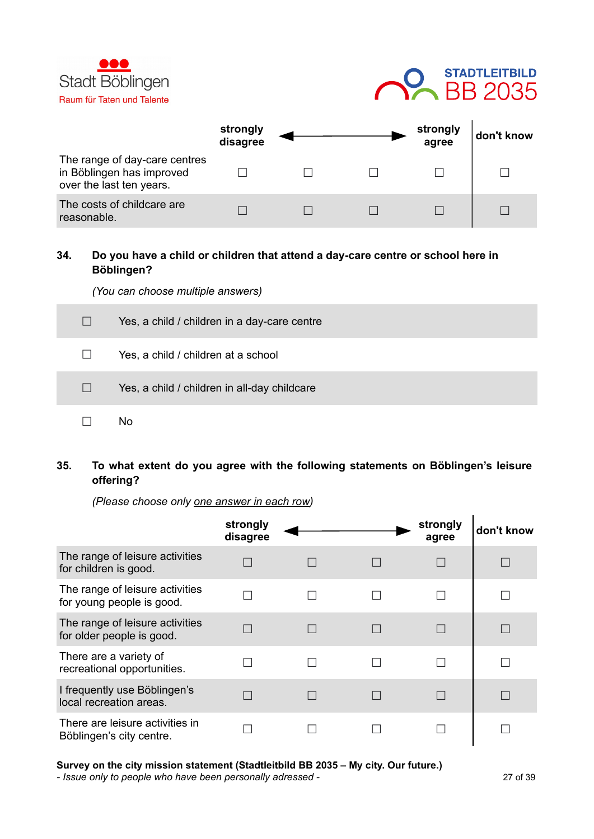



|                                                                                        | strongly<br>disagree |  | strongly<br>agree | don't know |
|----------------------------------------------------------------------------------------|----------------------|--|-------------------|------------|
| The range of day-care centres<br>in Böblingen has improved<br>over the last ten years. |                      |  |                   |            |
| The costs of childcare are<br>reasonable.                                              |                      |  |                   |            |

#### **34. Do you have a child or children that attend a day-care centre or school here in Böblingen?**

*(You can choose multiple answers)*

| $\Box$            | Yes, a child / children in a day-care centre |
|-------------------|----------------------------------------------|
| $\perp$           | Yes, a child / children at a school          |
| $\vert \ \ \vert$ | Yes, a child / children in all-day childcare |
|                   | No                                           |

**35. To what extent do you agree with the following statements on Böblingen's leisure offering?**

*(Please choose only one answer in each row)*

|                                                              | strongly<br>disagree |  | strongly<br>agree | don't know |
|--------------------------------------------------------------|----------------------|--|-------------------|------------|
| The range of leisure activities<br>for children is good.     |                      |  |                   |            |
| The range of leisure activities<br>for young people is good. |                      |  |                   |            |
| The range of leisure activities<br>for older people is good. |                      |  |                   |            |
| There are a variety of<br>recreational opportunities.        |                      |  |                   |            |
| I frequently use Böblingen's<br>local recreation areas.      |                      |  |                   |            |
| There are leisure activities in<br>Böblingen's city centre.  |                      |  |                   |            |

**Survey on the city mission statement (Stadtleitbild BB 2035 – My city. Our future.)**

*- Issue only to people who have been personally adressed -* 27 of 39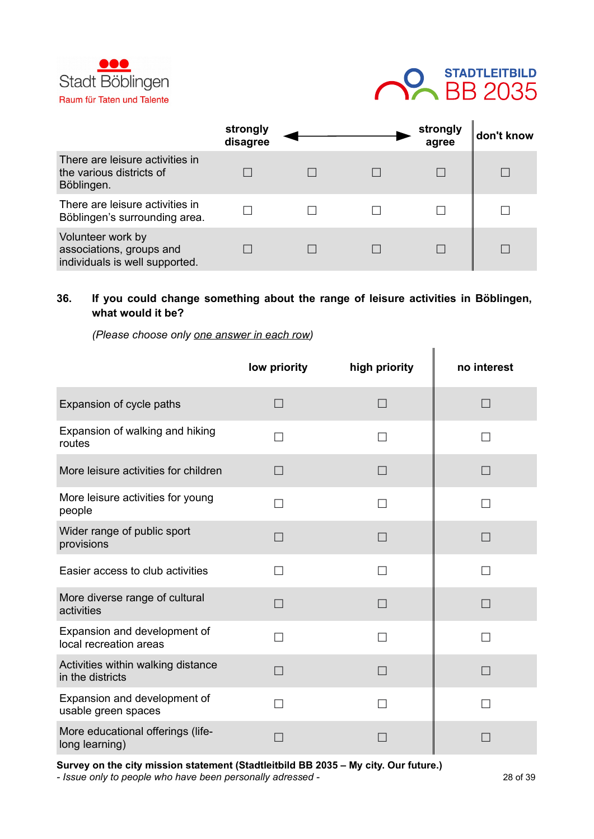



|                                                                                 | strongly<br>disagree |  | strongly<br>agree | don't know |
|---------------------------------------------------------------------------------|----------------------|--|-------------------|------------|
| There are leisure activities in<br>the various districts of<br>Böblingen.       |                      |  |                   |            |
| There are leisure activities in<br>Böblingen's surrounding area.                |                      |  |                   |            |
| Volunteer work by<br>associations, groups and<br>individuals is well supported. |                      |  |                   |            |

#### **36. If you could change something about the range of leisure activities in Böblingen, what would it be?**

*(Please choose only one answer in each row)*

|                                                        | low priority | high priority | no interest |
|--------------------------------------------------------|--------------|---------------|-------------|
| Expansion of cycle paths                               | $\Box$       | П             | П           |
| Expansion of walking and hiking<br>routes              | П            | П             |             |
| More leisure activities for children                   | П            | $\Box$        | П           |
| More leisure activities for young<br>people            | П            | П             |             |
| Wider range of public sport<br>provisions              | П            | $\Box$        | П           |
| Easier access to club activities                       | П            | П             |             |
| More diverse range of cultural<br>activities           | П            | П             | $\Box$      |
| Expansion and development of<br>local recreation areas | П            | П             |             |
| Activities within walking distance<br>in the districts | П            | $\Box$        | П           |
| Expansion and development of<br>usable green spaces    | П            | П             |             |
| More educational offerings (life-<br>long learning)    |              |               |             |

**Survey on the city mission statement (Stadtleitbild BB 2035 – My city. Our future.)**

*- Issue only to people who have been personally adressed -* 28 of 39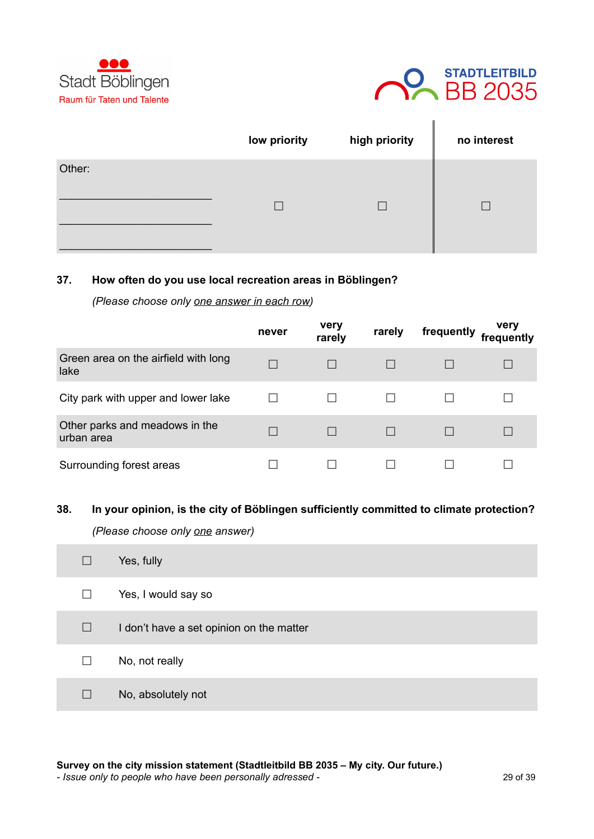



|        | low priority | high priority | no interest |
|--------|--------------|---------------|-------------|
| Other: |              |               |             |
|        |              |               |             |
|        |              |               |             |

#### **37. How often do you use local recreation areas in Böblingen?**

*(Please choose only one answer in each row)*

|                                              | never | very<br>rarely | rarely | frequently | very<br>frequently |
|----------------------------------------------|-------|----------------|--------|------------|--------------------|
| Green area on the airfield with long<br>lake |       |                |        |            |                    |
| City park with upper and lower lake          |       |                |        |            |                    |
| Other parks and meadows in the<br>urban area |       |                |        |            |                    |
| Surrounding forest areas                     |       |                |        |            |                    |

#### **38. In your opinion, is the city of Böblingen sufficiently committed to climate protection?**

*(Please choose only one answer)*

| $\vert \ \ \vert$ | Yes, fully                               |
|-------------------|------------------------------------------|
| $\Box$            | Yes, I would say so                      |
| $\Box$            | I don't have a set opinion on the matter |
| П                 | No, not really                           |
| $\Box$            | No, absolutely not                       |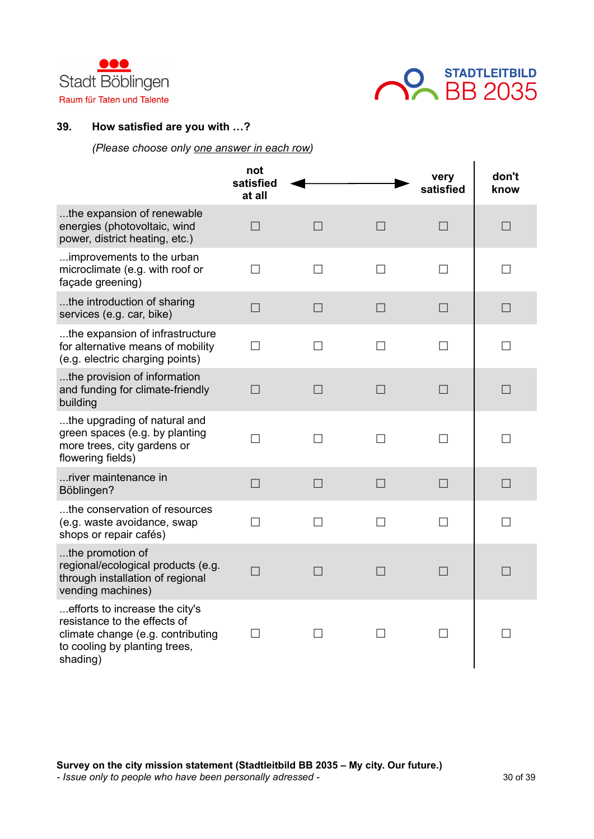



#### **39. How satisfied are you with …?**

#### *(Please choose only one answer in each row)*

|                                                                                                                                                  | not<br>satisfied<br>at all |              |              | very<br>satisfied | don't<br>know |
|--------------------------------------------------------------------------------------------------------------------------------------------------|----------------------------|--------------|--------------|-------------------|---------------|
| the expansion of renewable<br>energies (photovoltaic, wind<br>power, district heating, etc.)                                                     | $\Box$                     | $\Box$       | $\Box$       | $\Box$            | $\Box$        |
| improvements to the urban<br>microclimate (e.g. with roof or<br>façade greening)                                                                 | $\Box$                     | $\Box$       | $\Box$       | $\Box$            | $\Box$        |
| the introduction of sharing<br>services (e.g. car, bike)                                                                                         | $\Box$                     | $\Box$       | $\Box$       | $\Box$            | $\Box$        |
| the expansion of infrastructure<br>for alternative means of mobility<br>(e.g. electric charging points)                                          | П                          | $\mathsf{L}$ | $\mathsf{L}$ | $\mathsf{L}$      | $\mathsf{L}$  |
| the provision of information<br>and funding for climate-friendly<br>building                                                                     | $\Box$                     | $\Box$       | $\Box$       | $\Box$            | $\Box$        |
| the upgrading of natural and<br>green spaces (e.g. by planting<br>more trees, city gardens or<br>flowering fields)                               | $\Box$                     | П            | П            | $\Box$            | П             |
| river maintenance in<br>Böblingen?                                                                                                               | $\Box$                     | $\Box$       | $\Box$       | $\Box$            | $\Box$        |
| the conservation of resources<br>(e.g. waste avoidance, swap<br>shops or repair cafés)                                                           | П                          | $\mathsf{L}$ | $\mathsf{L}$ | $\mathsf{L}$      | $\mathsf{L}$  |
| the promotion of<br>regional/ecological products (e.g.<br>through installation of regional<br>vending machines)                                  | П                          | $\Box$       | $\Box$       | $\Box$            | $\Box$        |
| efforts to increase the city's<br>resistance to the effects of<br>climate change (e.g. contributing<br>to cooling by planting trees,<br>shading) | $\Box$                     | П            | П            | П                 | П             |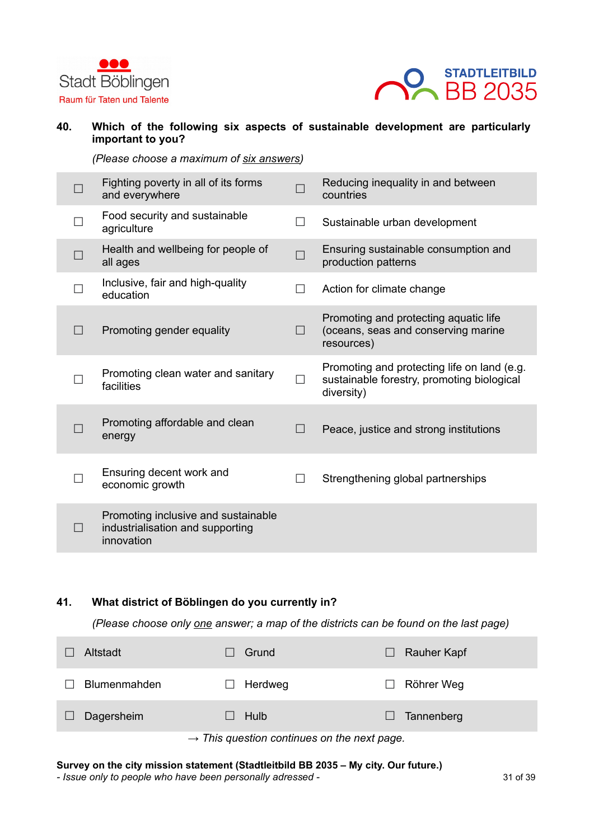



#### **40. Which of the following six aspects of sustainable development are particularly important to you?**

*(Please choose a maximum of six answers)*

| Fighting poverty in all of its forms<br>and everywhere                                |        | Reducing inequality in and between<br>countries                                                         |
|---------------------------------------------------------------------------------------|--------|---------------------------------------------------------------------------------------------------------|
| Food security and sustainable<br>agriculture                                          | $\Box$ | Sustainable urban development                                                                           |
| Health and wellbeing for people of<br>all ages                                        | $\Box$ | Ensuring sustainable consumption and<br>production patterns                                             |
| Inclusive, fair and high-quality<br>education                                         | $\Box$ | Action for climate change                                                                               |
| Promoting gender equality                                                             | $\Box$ | Promoting and protecting aquatic life<br>(oceans, seas and conserving marine<br>resources)              |
| Promoting clean water and sanitary<br>facilities                                      | $\Box$ | Promoting and protecting life on land (e.g.<br>sustainable forestry, promoting biological<br>diversity) |
| Promoting affordable and clean<br>energy                                              | $\Box$ | Peace, justice and strong institutions                                                                  |
| Ensuring decent work and<br>economic growth                                           | П      | Strengthening global partnerships                                                                       |
| Promoting inclusive and sustainable<br>industrialisation and supporting<br>innovation |        |                                                                                                         |

#### **41. What district of Böblingen do you currently in?**

m.

*(Please choose only one answer; a map of the districts can be found on the last page)*

| Altstadt             | Grund                                                   | Rauher Kapf |
|----------------------|---------------------------------------------------------|-------------|
| <b>Blumenmahden</b>  | Herdweg                                                 | Röhrer Weg  |
| Dagersheim<br>$\Box$ | Hulb                                                    | Tannenberg  |
|                      | $\rightarrow$ This question continues on the next page. |             |

#### **Survey on the city mission statement (Stadtleitbild BB 2035 – My city. Our future.)**

*- Issue only to people who have been personally adressed -* 31 of 39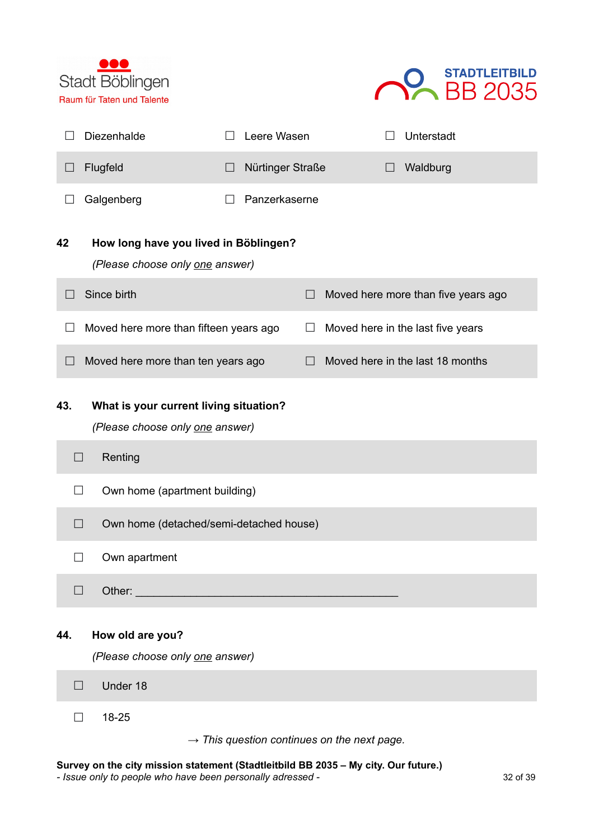



|                       |                   | Diezenhalde                                                                          |         | Leere Wasen      |        |                                                         | Unterstadt                          |
|-----------------------|-------------------|--------------------------------------------------------------------------------------|---------|------------------|--------|---------------------------------------------------------|-------------------------------------|
| $\Box$                |                   | Flugfeld                                                                             | $\perp$ | Nürtinger Straße |        | ⊔                                                       | Waldburg                            |
|                       |                   | Galgenberg                                                                           |         | Panzerkaserne    |        |                                                         |                                     |
| 42                    |                   | How long have you lived in Böblingen?<br>(Please choose only one answer)             |         |                  |        |                                                         |                                     |
| $\vert \ \ \vert$     |                   | Since birth                                                                          |         |                  | $\Box$ |                                                         | Moved here more than five years ago |
|                       |                   | Moved here more than fifteen years ago                                               |         |                  | $\Box$ |                                                         | Moved here in the last five years   |
| $\boxed{\phantom{1}}$ |                   | Moved here more than ten years ago                                                   |         |                  | $\Box$ |                                                         | Moved here in the last 18 months    |
| 43.                   | $\Box$            | What is your current living situation?<br>(Please choose only one answer)<br>Renting |         |                  |        |                                                         |                                     |
|                       | $\Box$            | Own home (apartment building)                                                        |         |                  |        |                                                         |                                     |
|                       | $\Box$            | Own home (detached/semi-detached house)                                              |         |                  |        |                                                         |                                     |
|                       |                   | Own apartment                                                                        |         |                  |        |                                                         |                                     |
|                       | $\vert \ \ \vert$ | Other:                                                                               |         |                  |        |                                                         |                                     |
| 44.                   |                   | How old are you?<br>(Please choose only one answer)                                  |         |                  |        |                                                         |                                     |
|                       | $\vert \ \ \vert$ | Under 18                                                                             |         |                  |        |                                                         |                                     |
|                       |                   | 18-25                                                                                |         |                  |        | $\rightarrow$ This question continues on the next page. |                                     |

**Survey on the city mission statement (Stadtleitbild BB 2035 – My city. Our future.)**

*- Issue only to people who have been personally adressed -* 32 of 39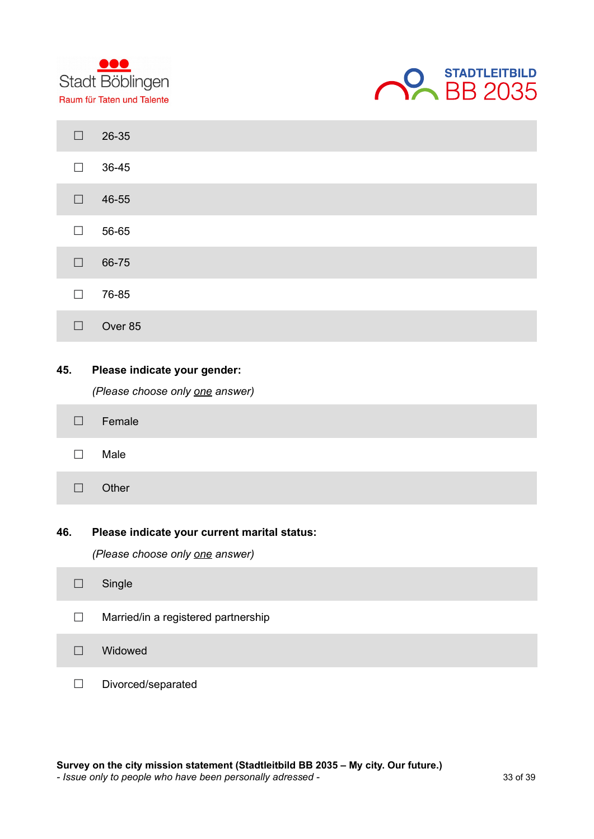



| $\Box$ | 26-35                                                                           |
|--------|---------------------------------------------------------------------------------|
| $\Box$ | 36-45                                                                           |
| $\Box$ | 46-55                                                                           |
| $\Box$ | 56-65                                                                           |
| $\Box$ | 66-75                                                                           |
| $\Box$ | 76-85                                                                           |
| $\Box$ | Over 85                                                                         |
| 45.    | Please indicate your gender:<br>(Please choose only one answer)                 |
| $\Box$ | Female                                                                          |
| $\Box$ | Male                                                                            |
| $\Box$ | Other                                                                           |
| 46.    | Please indicate your current marital status:<br>(Please choose only one answer) |
| $\Box$ | Single                                                                          |
| $\Box$ | Married/in a registered partnership                                             |
| $\Box$ | Widowed                                                                         |
| П      | Divorced/separated                                                              |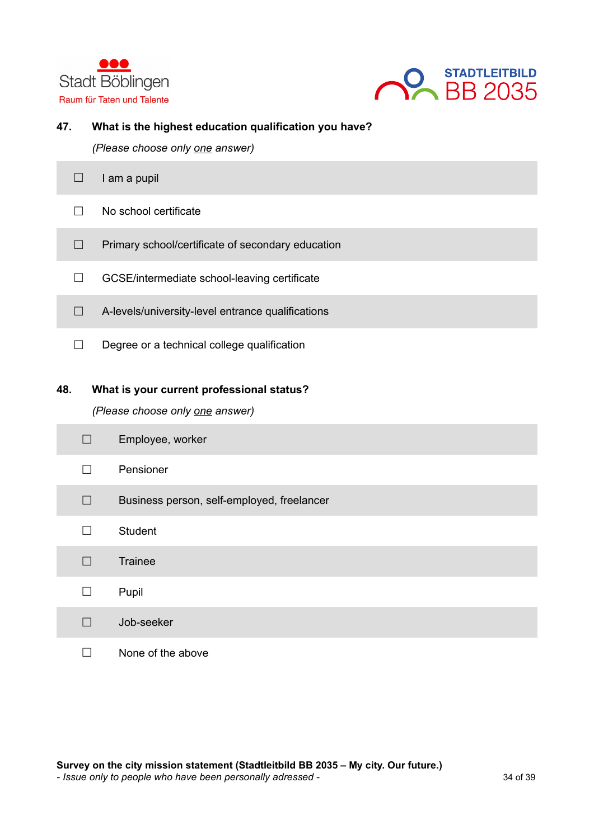



#### **47. What is the highest education qualification you have?**

*(Please choose only one answer)*

| am a pupil                                        |
|---------------------------------------------------|
| No school certificate                             |
| Primary school/certificate of secondary education |
| GCSE/intermediate school-leaving certificate      |
| A-levels/university-level entrance qualifications |
| Degree or a technical college qualification       |

## **48. What is your current professional status?**

*(Please choose only one answer)*

| $\Box$ | Employee, worker                           |
|--------|--------------------------------------------|
| $\Box$ | Pensioner                                  |
| П      | Business person, self-employed, freelancer |
| $\Box$ | Student                                    |
| П      | Trainee                                    |
| П      | Pupil                                      |
| П      | Job-seeker                                 |
|        | None of the above                          |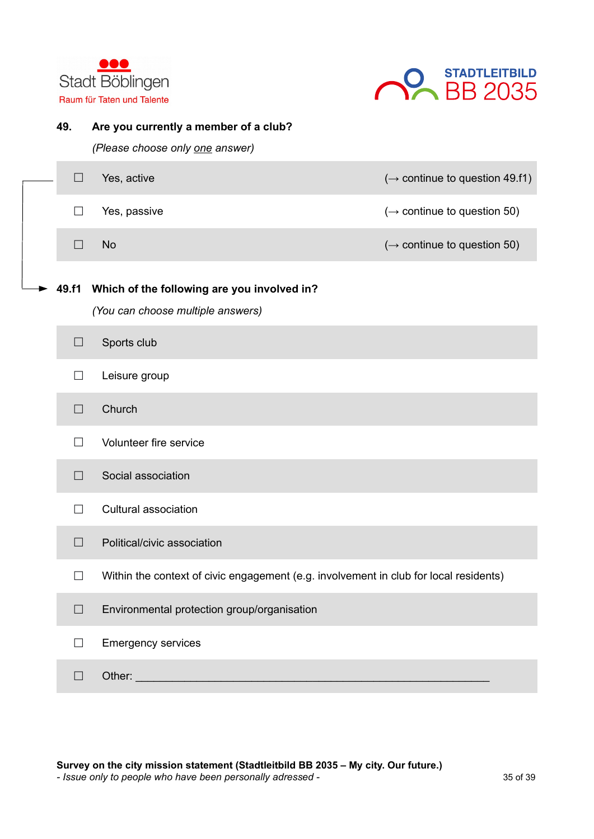



| 49.    | Are you currently a member of a club?<br>(Please choose only one answer)              |                                            |
|--------|---------------------------------------------------------------------------------------|--------------------------------------------|
| $\Box$ | Yes, active                                                                           | $(\rightarrow$ continue to question 49.f1) |
| $\Box$ | Yes, passive                                                                          | $(\rightarrow$ continue to question 50)    |
| $\Box$ | <b>No</b>                                                                             | $(\rightarrow$ continue to question 50)    |
| 49.f1  | Which of the following are you involved in?<br>(You can choose multiple answers)      |                                            |
| $\Box$ | Sports club                                                                           |                                            |
| $\Box$ | Leisure group                                                                         |                                            |
| $\Box$ | Church                                                                                |                                            |
| П      | Volunteer fire service                                                                |                                            |
| $\Box$ | Social association                                                                    |                                            |
| $\Box$ | Cultural association                                                                  |                                            |
| $\Box$ | Political/civic association                                                           |                                            |
| $\Box$ | Within the context of civic engagement (e.g. involvement in club for local residents) |                                            |
| $\Box$ | Environmental protection group/organisation                                           |                                            |
| $\Box$ | <b>Emergency services</b>                                                             |                                            |
| $\Box$ | Other:                                                                                |                                            |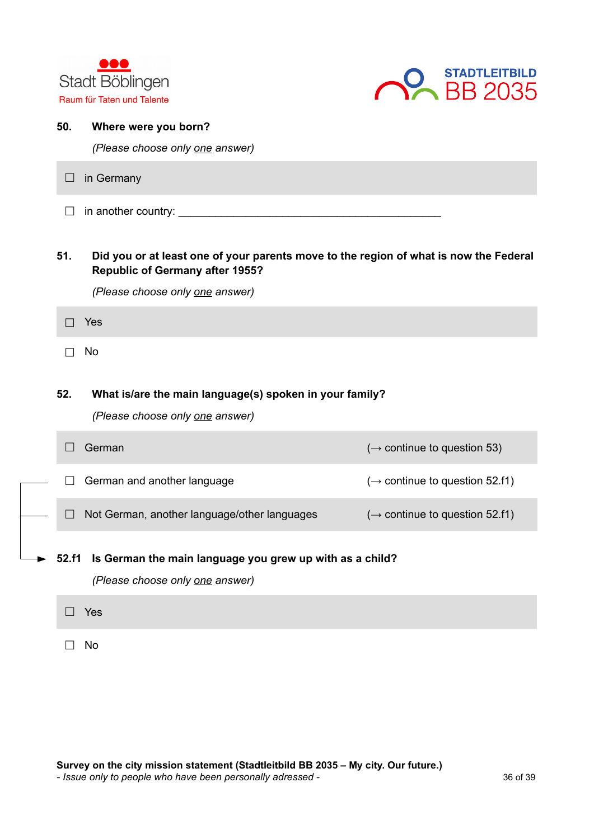



| 50.               | Where were you born?<br>(Please choose only one answer)                                                                         |                                            |
|-------------------|---------------------------------------------------------------------------------------------------------------------------------|--------------------------------------------|
| $\Box$            | in Germany                                                                                                                      |                                            |
| $\Box$            |                                                                                                                                 |                                            |
| 51.               | Did you or at least one of your parents move to the region of what is now the Federal<br><b>Republic of Germany after 1955?</b> |                                            |
|                   | (Please choose only one answer)                                                                                                 |                                            |
| П                 | Yes                                                                                                                             |                                            |
| $\vert \ \ \vert$ | No                                                                                                                              |                                            |
| 52.               | What is/are the main language(s) spoken in your family?<br>(Please choose only one answer)                                      |                                            |
| $\Box$            | German                                                                                                                          | $(\rightarrow$ continue to question 53)    |
| П                 | German and another language                                                                                                     | $(\rightarrow$ continue to question 52.f1) |
| $\Box$            | Not German, another language/other languages                                                                                    | $(\rightarrow$ continue to question 52.f1) |
| 52.f1             | Is German the main language you grew up with as a child?<br>(Please choose only one answer)                                     |                                            |
| $\Box$            | Yes                                                                                                                             |                                            |
| $\mathsf{L}$      | No                                                                                                                              |                                            |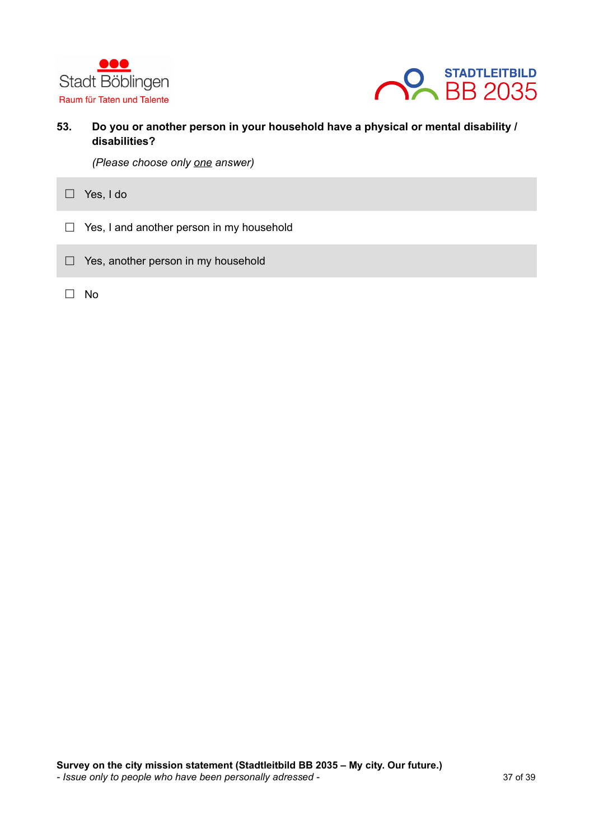



**53. Do you or another person in your household have a physical or mental disability / disabilities?**

*(Please choose only one answer)*

**☐** Yes, I do

- **☐** Yes, I and another person in my household
- **☐** Yes, another person in my household
- **☐** No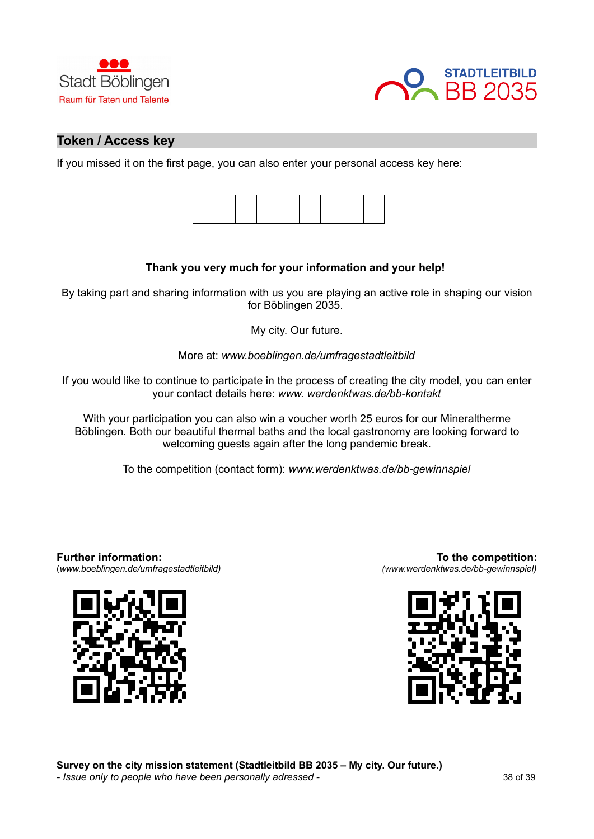



## **Token / Access key**

If you missed it on the first page, you can also enter your personal access key here:



#### **Thank you very much for your information and your help!**

By taking part and sharing information with us you are playing an active role in shaping our vision for Böblingen 2035.

My city. Our future.

More at: *www.boeblingen.de/umfragestadtleitbild*

If you would like to continue to participate in the process of creating the city model, you can enter your contact details here: *www. werdenktwas.de/bb-kontakt*

With your participation you can also win a voucher worth 25 euros for our Mineraltherme Böblingen. Both our beautiful thermal baths and the local gastronomy are looking forward to welcoming guests again after the long pandemic break.

To the competition (contact form): *www.werdenktwas.de/bb-gewinnspiel*

**Further information:**  (*www.boeblingen.de/umfragestadtleitbild)*



**To the competition:** *(www.werdenktwas.de/bb-gewinnspiel)*



**Survey on the city mission statement (Stadtleitbild BB 2035 – My city. Our future.)** *- Issue only to people who have been personally adressed -* 38 of 39